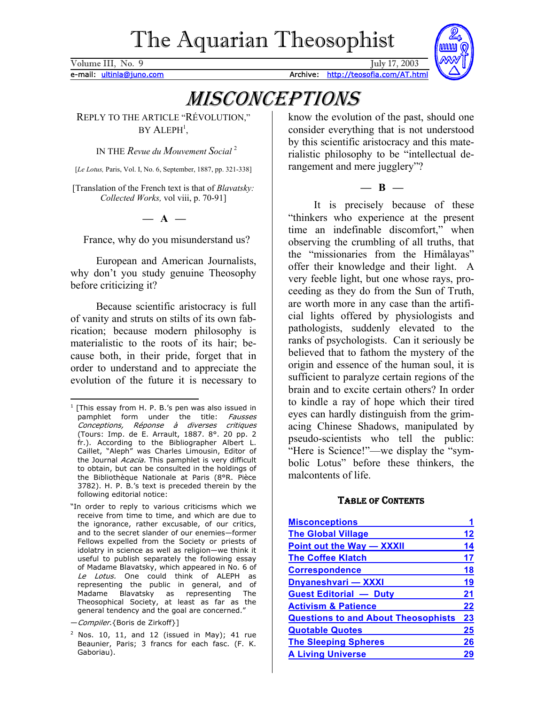# The Aquarian Theosophist

<span id="page-0-2"></span>Volume III, No. 9 July 17, 2003

e-mail: ultinla@juno.com **Archive: http://teosofia.com/AT.html** 



MISCONCEPTIONS

REPLY TO THE ARTICLE "RÉVOLUTION,"  $BY$   $ALEPH<sup>1</sup>$ ,

IN THE *Revue du Mouvement Social* [2](#page-0-1)

[*Le Lotus, Paris, Vol. I, No. 6, September, 1887, pp. 321-338]* 

[Translation of the French text is that of *Blavatsky: Collected Works,* vol viii, p. 70-91]

**— A —**

France, why do you misunderstand us?

European and American Journalists, why don't you study genuine Theosophy before criticizing it?

Because scientific aristocracy is full of vanity and struts on stilts of its own fabrication; because modern philosophy is materialistic to the roots of its hair; because both, in their pride, forget that in order to understand and to appreciate the evolution of the future it is necessary to

"In order to reply to various criticisms which we receive from time to time, and which are due to the ignorance, rather excusable, of our critics, and to the secret slander of our enemies—former Fellows expelled from the Society or priests of idolatry in science as well as religion—we think it useful to publish separately the following essay of Madame Blavatsky, which appeared in No. 6 of Le Lotus. One could think of ALEPH as representing the public in general, and of Madame Blavatsky as representing The Theosophical Society, at least as far as the general tendency and the goal are concerned."

know the evolution of the past, should one consider everything that is not understood by this scientific aristocracy and this materialistic philosophy to be "intellectual derangement and mere jugglery"?

**— B —** 

It is precisely because of these "thinkers who experience at the present time an indefinable discomfort," when observing the crumbling of all truths, that the "missionaries from the Himâlayas" offer their knowledge and their light. A very feeble light, but one whose rays, proceeding as they do from the Sun of Truth, are worth more in any case than the artificial lights offered by physiologists and pathologists, suddenly elevated to the ranks of psychologists. Can it seriously be believed that to fathom the mystery of the origin and essence of the human soul, it is sufficient to paralyze certain regions of the brain and to excite certain others? In order to kindle a ray of hope which their tired eyes can hardly distinguish from the grimacing Chinese Shadows, manipulated by pseudo-scientists who tell the public: "Here is Science!"—we display the "symbolic Lotus" before these thinkers, the malcontents of life.

### TABLE OF CONTENTS

| <b>Misconceptions</b>                      |    |
|--------------------------------------------|----|
| <b>The Global Village</b>                  | 12 |
| Point out the Way - XXXII                  | 14 |
| <b>The Coffee Klatch</b>                   | 17 |
| <b>Correspondence</b>                      | 18 |
| Dnyaneshvari - XXXI                        | 19 |
| <b>Guest Editorial - Duty</b>              | 21 |
| <b>Activism &amp; Patience</b>             | 22 |
| <b>Questions to and About Theosophists</b> | 23 |
| <b>Quotable Quotes</b>                     | 25 |
| <b>The Sleeping Spheres</b>                | 26 |
| <b>A Living Universe</b>                   | 29 |

<span id="page-0-0"></span> 1 [This essay from H. P. B.'s pen was also issued in the Journal *Acacia.* This pamphlet is very difficult pamphlet form under the title: Fausses Conceptions, Réponse à diverses critiques (Tours: Imp. de E. Arrault, 1887. 8°. 20 pp. 2 fr.). According to the Bibliographer Albert L. Caillet, "Aleph" was Charles Limousin, Editor of to obtain, but can be consulted in the holdings of the Bibliothèque Nationale at Paris (8°R. Pièce 3782). H. P. B.'s text is preceded therein by the following editorial notice:

<sup>—</sup>Compiler.{Boris de Zirkoff}]

<span id="page-0-1"></span> $2$  Nos. 10, 11, and 12 (issued in May); 41 rue Beaunier, Paris; 3 francs for each fasc. (F. K. Gaboriau).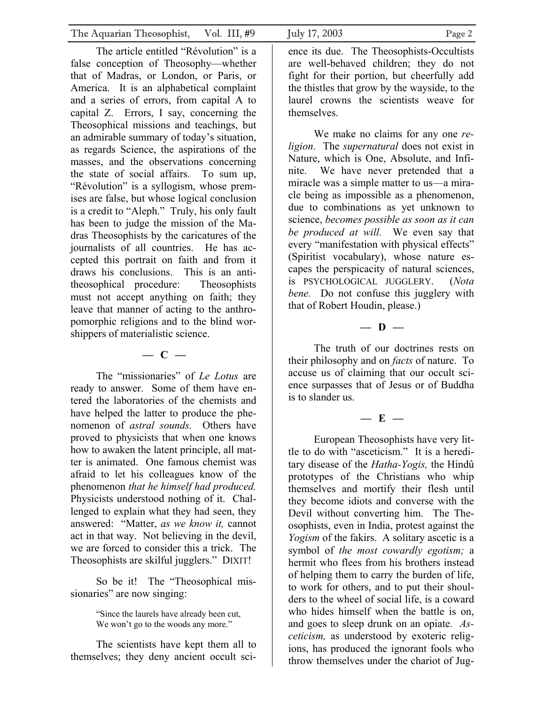The article entitled "Révolution" is a false conception of Theosophy—whether that of Madras, or London, or Paris, or America. It is an alphabetical complaint and a series of errors, from capital A to capital Z. Errors, I say, concerning the Theosophical missions and teachings, but an admirable summary of today's situation, as regards Science, the aspirations of the masses, and the observations concerning the state of social affairs. To sum up, "Révolution" is a syllogism, whose premises are false, but whose logical conclusion is a credit to "Aleph." Truly, his only fault has been to judge the mission of the Madras Theosophists by the caricatures of the journalists of all countries. He has accepted this portrait on faith and from it draws his conclusions. This is an antitheosophical procedure: Theosophists must not accept anything on faith; they leave that manner of acting to the anthropomorphic religions and to the blind worshippers of materialistic science.

**— C —** 

The "missionaries" of *Le Lotus* are ready to answer. Some of them have entered the laboratories of the chemists and have helped the latter to produce the phenomenon of *astral sounds.* Others have proved to physicists that when one knows how to awaken the latent principle, all matter is animated. One famous chemist was afraid to let his colleagues know of the phenomenon *that he himself had produced.*  Physicists understood nothing of it. Challenged to explain what they had seen, they answered: "Matter, *as we know it,* cannot act in that way. Not believing in the devil, we are forced to consider this a trick. The Theosophists are skilful jugglers." DIXIT!

So be it! The "Theosophical missionaries" are now singing:

> "Since the laurels have already been cut, We won't go to the woods any more."

The scientists have kept them all to themselves; they deny ancient occult science its due. The Theosophists-Occultists are well-behaved children; they do not fight for their portion, but cheerfully add the thistles that grow by the wayside, to the laurel crowns the scientists weave for themselves.

We make no claims for any one *religion.* The *supernatural* does not exist in Nature, which is One, Absolute, and Infinite. We have never pretended that a miracle was a simple matter to us—a miracle being as impossible as a phenomenon, due to combinations as yet unknown to science, *becomes possible as soon as it can be produced at will.* We even say that every "manifestation with physical effects" (Spiritist vocabulary), whose nature escapes the perspicacity of natural sciences, is PSYCHOLOGICAL JUGGLERY. (*Nota bene.* Do not confuse this jugglery with that of Robert Houdin, please.)

The truth of our doctrines rests on their philosophy and on *facts* of nature. To accuse us of claiming that our occult science surpasses that of Jesus or of Buddha is to slander us.

**— D —** 

**— E —** 

European Theosophists have very little to do with "asceticism." It is a hereditary disease of the *Hatha-Yogis,* the Hindû prototypes of the Christians who whip themselves and mortify their flesh until they become idiots and converse with the Devil without converting him. The Theosophists, even in India, protest against the *Yogism* of the fakirs. A solitary ascetic is a symbol of *the most cowardly egotism;* a hermit who flees from his brothers instead of helping them to carry the burden of life, to work for others, and to put their shoulders to the wheel of social life, is a coward who hides himself when the battle is on, and goes to sleep drunk on an opiate. *Asceticism,* as understood by exoteric religions, has produced the ignorant fools who throw themselves under the chariot of Jug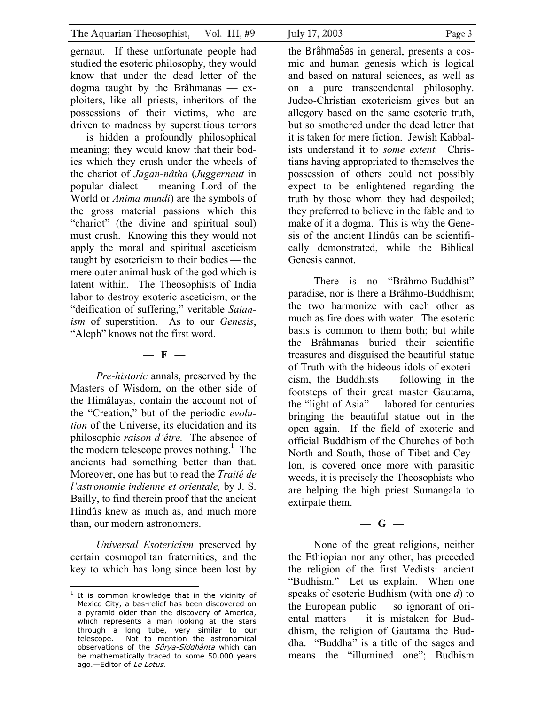gernaut. If these unfortunate people had studied the esoteric philosophy, they would know that under the dead letter of the dogma taught by the Brâhmanas — exploiters, like all priests, inheritors of the possessions of their victims, who are driven to madness by superstitious terrors — is hidden a profoundly philosophical meaning; they would know that their bodies which they crush under the wheels of the chariot of *Jagan-nâtha* (*Juggernaut* in popular dialect — meaning Lord of the World or *Anima mundi*) are the symbols of the gross material passions which this "chariot" (the divine and spiritual soul) must crush. Knowing this they would not apply the moral and spiritual asceticism taught by esotericism to their bodies — the mere outer animal husk of the god which is latent within. The Theosophists of India labor to destroy exoteric asceticism, or the "deification of suffering," veritable *Satanism* of superstition. As to our *Genesis*, "Aleph" knows not the first word.

**— F —** 

*Pre-historic* annals, preserved by the Masters of Wisdom, on the other side of the Himâlayas, contain the account not of the "Creation," but of the periodic *evolution* of the Universe, its elucidation and its philosophic *raison d'être.* The absence of the modern telescope proves nothing.<sup>1</sup> The ancients had something better than that. Moreover, one has but to read the *Traité de l'astronomie indienne et orientale,* by J. S. Bailly, to find therein proof that the ancient Hindûs knew as much as, and much more than, our modern astronomers.

*Universal Esotericism* preserved by certain cosmopolitan fraternities, and the key to which has long since been lost by

the BrâhmaŠas in general, presents a cosmic and human genesis which is logical and based on natural sciences, as well as on a pure transcendental philosophy. Judeo-Christian exotericism gives but an allegory based on the same esoteric truth, but so smothered under the dead letter that it is taken for mere fiction. Jewish Kabbalists understand it to *some extent.* Christians having appropriated to themselves the possession of others could not possibly expect to be enlightened regarding the truth by those whom they had despoiled; they preferred to believe in the fable and to make of it a dogma. This is why the Genesis of the ancient Hindûs can be scientifically demonstrated, while the Biblical Genesis cannot.

There is no "Brâhmo-Buddhist" paradise, nor is there a Brâhmo-Buddhism; the two harmonize with each other as much as fire does with water. The esoteric basis is common to them both; but while the Brâhmanas buried their scientific treasures and disguised the beautiful statue of Truth with the hideous idols of exotericism, the Buddhists — following in the footsteps of their great master Gautama, the "light of Asia" — labored for centuries bringing the beautiful statue out in the open again. If the field of exoteric and official Buddhism of the Churches of both North and South, those of Tibet and Ceylon, is covered once more with parasitic weeds, it is precisely the Theosophists who are helping the high priest Sumangala to extirpate them.

**— G —** 

None of the great religions, neither the Ethiopian nor any other, has preceded the religion of the first Vedists: ancient "Budhism." Let us explain. When one speaks of esoteric Budhism (with one *d*) to the European public — so ignorant of oriental matters — it is mistaken for Buddhism, the religion of Gautama the Buddha. "Buddha" is a title of the sages and means the "illumined one"; Budhism

<span id="page-2-0"></span> 1 It is common knowledge that in the vicinity of Mexico City, a bas-relief has been discovered on a pyramid older than the discovery of America, which represents a man looking at the stars through a long tube, very similar to our telescope. Not to mention the astronomical observations of the Sûrya-Siddhânta which can be mathematically traced to some 50,000 years ago.-Editor of Le Lotus.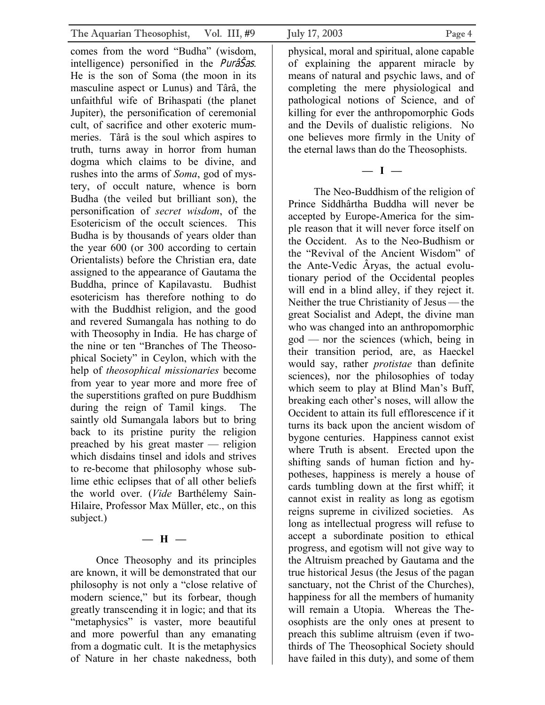comes from the word "Budha" (wisdom, intelligence) personified in the *PurâSas*. He is the son of Soma (the moon in its masculine aspect or Lunus) and Târâ, the unfaithful wife of Brihaspati (the planet Jupiter), the personification of ceremonial cult, of sacrifice and other exoteric mummeries. Târâ is the soul which aspires to truth, turns away in horror from human dogma which claims to be divine, and rushes into the arms of *Soma*, god of mystery, of occult nature, whence is born Budha (the veiled but brilliant son), the personification of *secret wisdom*, of the Esotericism of the occult sciences. This Budha is by thousands of years older than the year 600 (or 300 according to certain Orientalists) before the Christian era, date assigned to the appearance of Gautama the Buddha, prince of Kapilavastu. Budhist esotericism has therefore nothing to do with the Buddhist religion, and the good and revered Sumangala has nothing to do with Theosophy in India. He has charge of the nine or ten "Branches of The Theosophical Society" in Ceylon, which with the help of *theosophical missionaries* become from year to year more and more free of the superstitions grafted on pure Buddhism during the reign of Tamil kings. The saintly old Sumangala labors but to bring back to its pristine purity the religion preached by his great master — religion which disdains tinsel and idols and strives to re-become that philosophy whose sublime ethic eclipses that of all other beliefs the world over. (*Vide* Barthélemy Sain-Hilaire, Professor Max Müller, etc., on this subject.)

### **— H —**

Once Theosophy and its principles are known, it will be demonstrated that our philosophy is not only a "close relative of modern science," but its forbear, though greatly transcending it in logic; and that its "metaphysics" is vaster, more beautiful and more powerful than any emanating from a dogmatic cult. It is the metaphysics of Nature in her chaste nakedness, both

physical, moral and spiritual, alone capable of explaining the apparent miracle by means of natural and psychic laws, and of completing the mere physiological and pathological notions of Science, and of killing for ever the anthropomorphic Gods and the Devils of dualistic religions. No one believes more firmly in the Unity of the eternal laws than do the Theosophists.

**— I —** 

The Neo-Buddhism of the religion of Prince Siddhârtha Buddha will never be accepted by Europe-America for the simple reason that it will never force itself on the Occident. As to the Neo-Budhism or the "Revival of the Ancient Wisdom" of the Ante-Vedic Âryas, the actual evolutionary period of the Occidental peoples will end in a blind alley, if they reject it. Neither the true Christianity of Jesus — the great Socialist and Adept, the divine man who was changed into an anthropomorphic god — nor the sciences (which, being in their transition period, are, as Haeckel would say, rather *protistae* than definite sciences), nor the philosophies of today which seem to play at Blind Man's Buff, breaking each other's noses, will allow the Occident to attain its full efflorescence if it turns its back upon the ancient wisdom of bygone centuries. Happiness cannot exist where Truth is absent. Erected upon the shifting sands of human fiction and hypotheses, happiness is merely a house of cards tumbling down at the first whiff; it cannot exist in reality as long as egotism reigns supreme in civilized societies. As long as intellectual progress will refuse to accept a subordinate position to ethical progress, and egotism will not give way to the Altruism preached by Gautama and the true historical Jesus (the Jesus of the pagan sanctuary, not the Christ of the Churches), happiness for all the members of humanity will remain a Utopia. Whereas the Theosophists are the only ones at present to preach this sublime altruism (even if twothirds of The Theosophical Society should have failed in this duty), and some of them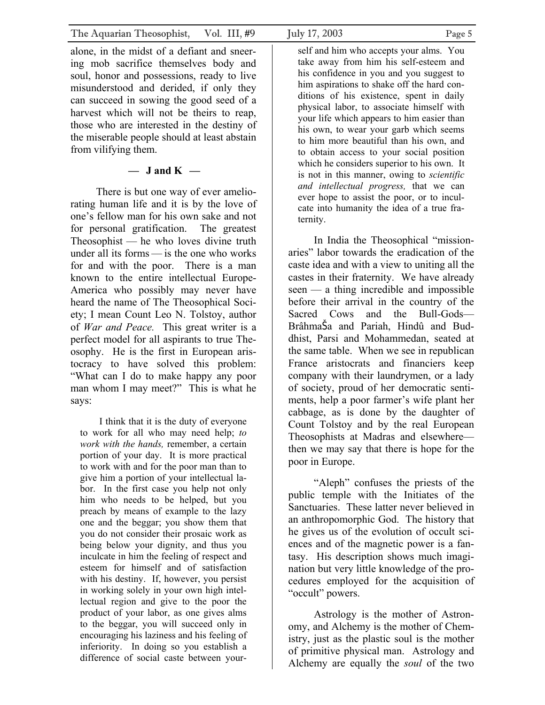alone, in the midst of a defiant and sneering mob sacrifice themselves body and soul, honor and possessions, ready to live misunderstood and derided, if only they can succeed in sowing the good seed of a harvest which will not be theirs to reap, those who are interested in the destiny of the miserable people should at least abstain from vilifying them.

### **— J and K —**

There is but one way of ever ameliorating human life and it is by the love of one's fellow man for his own sake and not for personal gratification. The greatest Theosophist — he who loves divine truth under all its forms — is the one who works for and with the poor. There is a man known to the entire intellectual Europe-America who possibly may never have heard the name of The Theosophical Society; I mean Count Leo N. Tolstoy, author of *War and Peace.* This great writer is a perfect model for all aspirants to true Theosophy. He is the first in European aristocracy to have solved this problem: "What can I do to make happy any poor man whom I may meet?" This is what he says:

I think that it is the duty of everyone to work for all who may need help; *to work with the hands,* remember, a certain portion of your day. It is more practical to work with and for the poor man than to give him a portion of your intellectual labor. In the first case you help not only him who needs to be helped, but you preach by means of example to the lazy one and the beggar; you show them that you do not consider their prosaic work as being below your dignity, and thus you inculcate in him the feeling of respect and esteem for himself and of satisfaction with his destiny. If, however, you persist in working solely in your own high intellectual region and give to the poor the product of your labor, as one gives alms to the beggar, you will succeed only in encouraging his laziness and his feeling of inferiority. In doing so you establish a difference of social caste between yourself and him who accepts your alms. You take away from him his self-esteem and his confidence in you and you suggest to him aspirations to shake off the hard conditions of his existence, spent in daily physical labor, to associate himself with your life which appears to him easier than his own, to wear your garb which seems to him more beautiful than his own, and to obtain access to your social position which he considers superior to his own. It is not in this manner, owing to *scientific and intellectual progress,* that we can ever hope to assist the poor, or to inculcate into humanity the idea of a true fraternity.

In India the Theosophical "missionaries" labor towards the eradication of the caste idea and with a view to uniting all the castes in their fraternity. We have already seen — a thing incredible and impossible before their arrival in the country of the Sacred Cows and the Bull-Gods— BrâhmaŠa and Pariah, Hindû and Buddhist, Parsi and Mohammedan, seated at the same table. When we see in republican France aristocrats and financiers keep company with their laundrymen, or a lady of society, proud of her democratic sentiments, help a poor farmer's wife plant her cabbage, as is done by the daughter of Count Tolstoy and by the real European Theosophists at Madras and elsewhere then we may say that there is hope for the poor in Europe.

"Aleph" confuses the priests of the public temple with the Initiates of the Sanctuaries. These latter never believed in an anthropomorphic God. The history that he gives us of the evolution of occult sciences and of the magnetic power is a fantasy. His description shows much imagination but very little knowledge of the procedures employed for the acquisition of "occult" powers.

Astrology is the mother of Astronomy, and Alchemy is the mother of Chemistry, just as the plastic soul is the mother of primitive physical man. Astrology and Alchemy are equally the *soul* of the two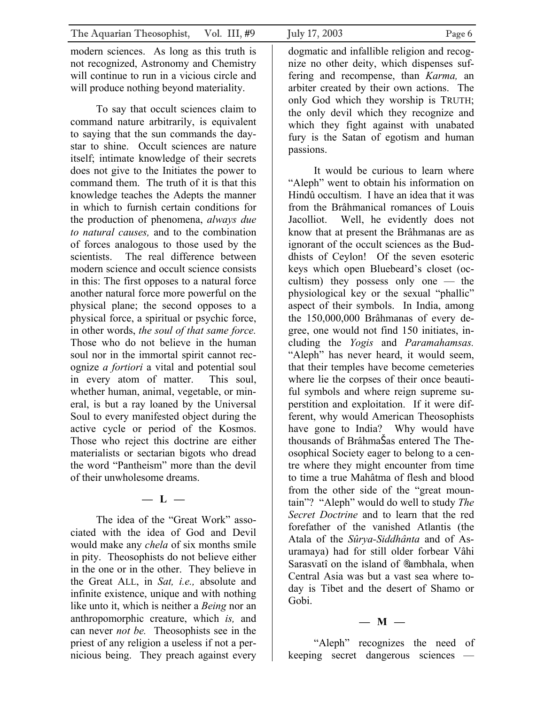modern sciences. As long as this truth is not recognized, Astronomy and Chemistry will continue to run in a vicious circle and will produce nothing beyond materiality.

To say that occult sciences claim to command nature arbitrarily, is equivalent to saying that the sun commands the daystar to shine. Occult sciences are nature itself; intimate knowledge of their secrets does not give to the Initiates the power to command them. The truth of it is that this knowledge teaches the Adepts the manner in which to furnish certain conditions for the production of phenomena, *always due to natural causes,* and to the combination of forces analogous to those used by the scientists. The real difference between modern science and occult science consists in this: The first opposes to a natural force another natural force more powerful on the physical plane; the second opposes to a physical force, a spiritual or psychic force, in other words, *the soul of that same force.*  Those who do not believe in the human soul nor in the immortal spirit cannot recognize *a fortiori* a vital and potential soul in every atom of matter. This soul, whether human, animal, vegetable, or mineral, is but a ray loaned by the Universal Soul to every manifested object during the active cycle or period of the Kosmos. Those who reject this doctrine are either materialists or sectarian bigots who dread the word "Pantheism" more than the devil of their unwholesome dreams.

**— L —**

The idea of the "Great Work" associated with the idea of God and Devil would make any *chela* of six months smile in pity. Theosophists do not believe either in the one or in the other. They believe in the Great ALL, in *Sat, i.e.,* absolute and infinite existence, unique and with nothing like unto it, which is neither a *Being* nor an anthropomorphic creature, which *is,* and can never *not be.* Theosophists see in the priest of any religion a useless if not a pernicious being. They preach against every

dogmatic and infallible religion and recognize no other deity, which dispenses suffering and recompense, than *Karma,* an arbiter created by their own actions. The only God which they worship is TRUTH; the only devil which they recognize and which they fight against with unabated fury is the Satan of egotism and human passions.

It would be curious to learn where "Aleph" went to obtain his information on Hindû occultism. I have an idea that it was from the Brâhmanical romances of Louis Jacolliot. Well, he evidently does not know that at present the Brâhmanas are as ignorant of the occult sciences as the Buddhists of Ceylon! Of the seven esoteric keys which open Bluebeard's closet (occultism) they possess only one — the physiological key or the sexual "phallic" aspect of their symbols. In India, among the 150,000,000 Brâhmanas of every degree, one would not find 150 initiates, including the *Yogis* and *Paramahamsas.*  "Aleph" has never heard, it would seem, that their temples have become cemeteries where lie the corpses of their once beautiful symbols and where reign supreme superstition and exploitation. If it were different, why would American Theosophists have gone to India? Why would have thousands of BrâhmaŠas entered The Theosophical Society eager to belong to a centre where they might encounter from time to time a true Mahâtma of flesh and blood from the other side of the "great mountain"? "Aleph" would do well to study *The Secret Doctrine* and to learn that the red forefather of the vanished Atlantis (the Atala of the *Sûrya-Siddhânta* and of Asuramaya) had for still older forbear Vâhi Sarasvatî on the island of ®ambhala, when Central Asia was but a vast sea where today is Tibet and the desert of Shamo or Gobi.

**— M —**

"Aleph" recognizes the need of keeping secret dangerous sciences —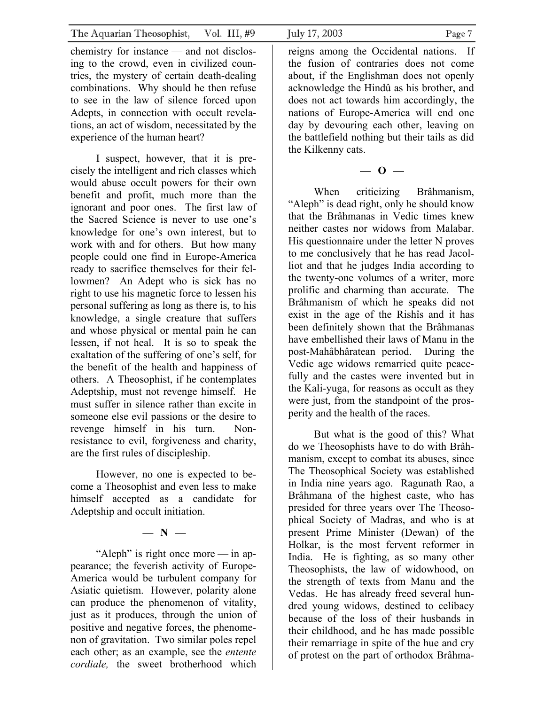chemistry for instance — and not disclosing to the crowd, even in civilized countries, the mystery of certain death-dealing combinations. Why should he then refuse to see in the law of silence forced upon Adepts, in connection with occult revelations, an act of wisdom, necessitated by the experience of the human heart?

I suspect, however, that it is precisely the intelligent and rich classes which would abuse occult powers for their own benefit and profit, much more than the ignorant and poor ones. The first law of the Sacred Science is never to use one's knowledge for one's own interest, but to work with and for others. But how many people could one find in Europe-America ready to sacrifice themselves for their fellowmen? An Adept who is sick has no right to use his magnetic force to lessen his personal suffering as long as there is, to his knowledge, a single creature that suffers and whose physical or mental pain he can lessen, if not heal. It is so to speak the exaltation of the suffering of one's self, for the benefit of the health and happiness of others. A Theosophist, if he contemplates Adeptship, must not revenge himself. He must suffer in silence rather than excite in someone else evil passions or the desire to revenge himself in his turn. Nonresistance to evil, forgiveness and charity, are the first rules of discipleship.

However, no one is expected to become a Theosophist and even less to make himself accepted as a candidate for Adeptship and occult initiation.

### **— N —**

"Aleph" is right once more — in appearance; the feverish activity of Europe-America would be turbulent company for Asiatic quietism. However, polarity alone can produce the phenomenon of vitality, just as it produces, through the union of positive and negative forces, the phenomenon of gravitation. Two similar poles repel each other; as an example, see the *entente cordiale,* the sweet brotherhood which

reigns among the Occidental nations. If the fusion of contraries does not come about, if the Englishman does not openly acknowledge the Hindû as his brother, and does not act towards him accordingly, the nations of Europe-America will end one day by devouring each other, leaving on the battlefield nothing but their tails as did the Kilkenny cats.

**— O —**

When criticizing Brâhmanism, "Aleph" is dead right, only he should know that the Brâhmanas in Vedic times knew neither castes nor widows from Malabar. His questionnaire under the letter N proves to me conclusively that he has read Jacolliot and that he judges India according to the twenty-one volumes of a writer, more prolific and charming than accurate. The Brâhmanism of which he speaks did not exist in the age of the Rishîs and it has been definitely shown that the Brâhmanas have embellished their laws of Manu in the post-Mahâbhâratean period. During the Vedic age widows remarried quite peacefully and the castes were invented but in the Kali-yuga, for reasons as occult as they were just, from the standpoint of the prosperity and the health of the races.

But what is the good of this? What do we Theosophists have to do with Brâhmanism, except to combat its abuses, since The Theosophical Society was established in India nine years ago. Ragunath Rao, a Brâhmana of the highest caste, who has presided for three years over The Theosophical Society of Madras, and who is at present Prime Minister (Dewan) of the Holkar, is the most fervent reformer in India. He is fighting, as so many other Theosophists, the law of widowhood, on the strength of texts from Manu and the Vedas. He has already freed several hundred young widows, destined to celibacy because of the loss of their husbands in their childhood, and he has made possible their remarriage in spite of the hue and cry of protest on the part of orthodox Brâhma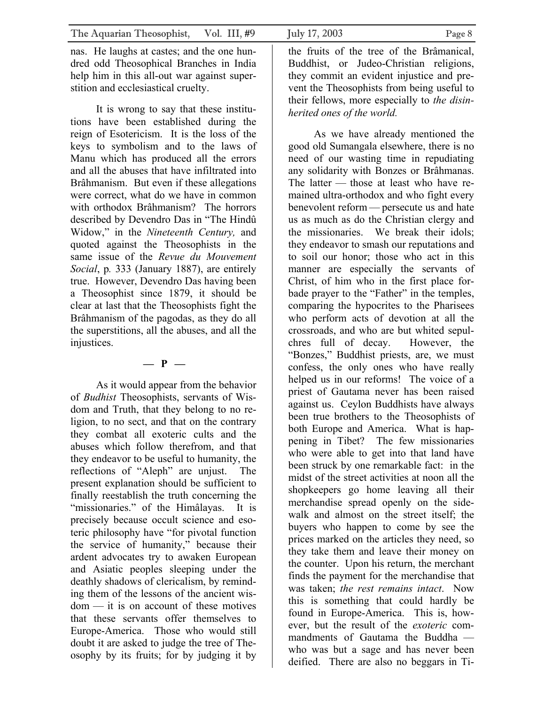nas. He laughs at castes; and the one hundred odd Theosophical Branches in India help him in this all-out war against superstition and ecclesiastical cruelty.

It is wrong to say that these institutions have been established during the reign of Esotericism. It is the loss of the keys to symbolism and to the laws of Manu which has produced all the errors and all the abuses that have infiltrated into Brâhmanism. But even if these allegations were correct, what do we have in common with orthodox Brâhmanism? The horrors described by Devendro Das in "The Hindû Widow," in the *Nineteenth Century,* and quoted against the Theosophists in the same issue of the *Revue du Mouvement Social*, p*.* 333 (January 1887), are entirely true. However, Devendro Das having been a Theosophist since 1879, it should be clear at last that the Theosophists fight the Brâhmanism of the pagodas, as they do all the superstitions, all the abuses, and all the injustices.

**— P —** 

As it would appear from the behavior of *Budhist* Theosophists, servants of Wisdom and Truth, that they belong to no religion, to no sect, and that on the contrary they combat all exoteric cults and the abuses which follow therefrom, and that they endeavor to be useful to humanity, the reflections of "Aleph" are unjust. The present explanation should be sufficient to finally reestablish the truth concerning the "missionaries." of the Himâlayas. It is precisely because occult science and esoteric philosophy have "for pivotal function the service of humanity," because their ardent advocates try to awaken European and Asiatic peoples sleeping under the deathly shadows of clericalism, by reminding them of the lessons of the ancient wisdom — it is on account of these motives that these servants offer themselves to Europe-America. Those who would still doubt it are asked to judge the tree of Theosophy by its fruits; for by judging it by

the fruits of the tree of the Brâmanical, Buddhist, or Judeo-Christian religions, they commit an evident injustice and prevent the Theosophists from being useful to their fellows, more especially to *the disinherited ones of the world.*

As we have already mentioned the good old Sumangala elsewhere, there is no need of our wasting time in repudiating any solidarity with Bonzes or Brâhmanas. The latter — those at least who have remained ultra-orthodox and who fight every benevolent reform — persecute us and hate us as much as do the Christian clergy and the missionaries. We break their idols; they endeavor to smash our reputations and to soil our honor; those who act in this manner are especially the servants of Christ, of him who in the first place forbade prayer to the "Father" in the temples, comparing the hypocrites to the Pharisees who perform acts of devotion at all the crossroads, and who are but whited sepulchres full of decay. However, the "Bonzes," Buddhist priests, are, we must confess, the only ones who have really helped us in our reforms! The voice of a priest of Gautama never has been raised against us. Ceylon Buddhists have always been true brothers to the Theosophists of both Europe and America. What is happening in Tibet? The few missionaries who were able to get into that land have been struck by one remarkable fact: in the midst of the street activities at noon all the shopkeepers go home leaving all their merchandise spread openly on the sidewalk and almost on the street itself; the buyers who happen to come by see the prices marked on the articles they need, so they take them and leave their money on the counter. Upon his return, the merchant finds the payment for the merchandise that was taken; *the rest remains intact*. Now this is something that could hardly be found in Europe-America. This is, however, but the result of the *exoteric* commandments of Gautama the Buddha who was but a sage and has never been deified. There are also no beggars in Ti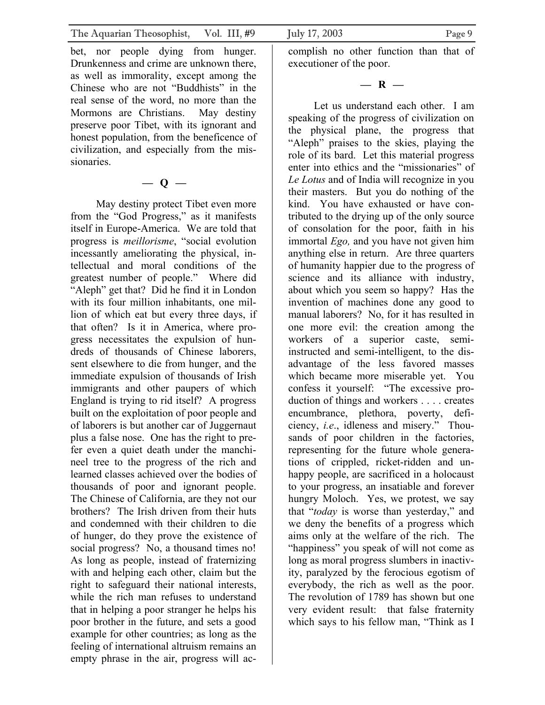bet, nor people dying from hunger. Drunkenness and crime are unknown there, as well as immorality, except among the Chinese who are not "Buddhists" in the real sense of the word, no more than the Mormons are Christians. May destiny preserve poor Tibet, with its ignorant and honest population, from the beneficence of civilization, and especially from the missionaries.

### **— Q —**

May destiny protect Tibet even more from the "God Progress," as it manifests itself in Europe-America. We are told that progress is *meillorisme*, "social evolution incessantly ameliorating the physical, intellectual and moral conditions of the greatest number of people." Where did "Aleph" get that? Did he find it in London with its four million inhabitants, one million of which eat but every three days, if that often? Is it in America, where progress necessitates the expulsion of hundreds of thousands of Chinese laborers, sent elsewhere to die from hunger, and the immediate expulsion of thousands of Irish immigrants and other paupers of which England is trying to rid itself? A progress built on the exploitation of poor people and of laborers is but another car of Juggernaut plus a false nose. One has the right to prefer even a quiet death under the manchineel tree to the progress of the rich and learned classes achieved over the bodies of thousands of poor and ignorant people. The Chinese of California, are they not our brothers? The Irish driven from their huts and condemned with their children to die of hunger, do they prove the existence of social progress? No, a thousand times no! As long as people, instead of fraternizing with and helping each other, claim but the right to safeguard their national interests, while the rich man refuses to understand that in helping a poor stranger he helps his poor brother in the future, and sets a good example for other countries; as long as the feeling of international altruism remains an empty phrase in the air, progress will accomplish no other function than that of executioner of the poor.

### **— R —**

Let us understand each other. I am speaking of the progress of civilization on the physical plane, the progress that "Aleph" praises to the skies, playing the role of its bard. Let this material progress enter into ethics and the "missionaries" of *Le Lotus* and of India will recognize in you their masters. But you do nothing of the kind. You have exhausted or have contributed to the drying up of the only source of consolation for the poor, faith in his immortal *Ego,* and you have not given him anything else in return. Are three quarters of humanity happier due to the progress of science and its alliance with industry, about which you seem so happy? Has the invention of machines done any good to manual laborers? No, for it has resulted in one more evil: the creation among the workers of a superior caste, semiinstructed and semi-intelligent, to the disadvantage of the less favored masses which became more miserable yet. You confess it yourself: "The excessive production of things and workers . . . . creates encumbrance, plethora, poverty, deficiency, *i.e*., idleness and misery." Thousands of poor children in the factories, representing for the future whole generations of crippled, ricket-ridden and unhappy people, are sacrificed in a holocaust to your progress, an insatiable and forever hungry Moloch. Yes, we protest, we say that "*today* is worse than yesterday," and we deny the benefits of a progress which aims only at the welfare of the rich. The "happiness" you speak of will not come as long as moral progress slumbers in inactivity, paralyzed by the ferocious egotism of everybody, the rich as well as the poor. The revolution of 1789 has shown but one very evident result: that false fraternity which says to his fellow man, "Think as I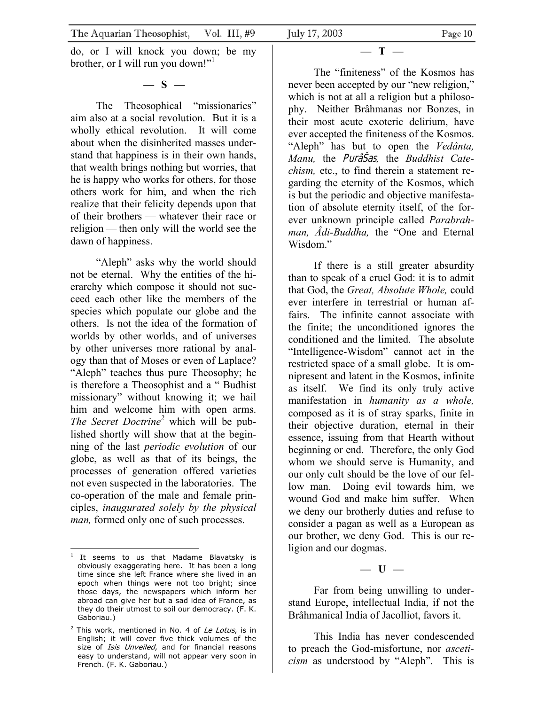do, or I will knock you down; be my brother, or I will run you down!"<sup>[1](#page-9-0)</sup>

 $-$  **S**  $-$ 

The Theosophical "missionaries" aim also at a social revolution. But it is a wholly ethical revolution. It will come about when the disinherited masses understand that happiness is in their own hands, that wealth brings nothing but worries, that he is happy who works for others, for those others work for him, and when the rich realize that their felicity depends upon that of their brothers — whatever their race or religion — then only will the world see the dawn of happiness.

"Aleph" asks why the world should not be eternal. Why the entities of the hierarchy which compose it should not succeed each other like the members of the species which populate our globe and the others. Is not the idea of the formation of worlds by other worlds, and of universes by other universes more rational by analogy than that of Moses or even of Laplace? "Aleph" teaches thus pure Theosophy; he is therefore a Theosophist and a " Budhist missionary" without knowing it; we hail him and welcome him with open arms. *The Secret Doctrine[2](#page-9-1)* which will be published shortly will show that at the beginning of the last *periodic evolution* of our globe, as well as that of its beings, the processes of generation offered varieties not even suspected in the laboratories. The co-operation of the male and female principles, *inaugurated solely by the physical man,* formed only one of such processes.

**— T —** 

The "finiteness" of the Kosmos has never been accepted by our "new religion," which is not at all a religion but a philosophy. Neither Brâhmanas nor Bonzes, in their most acute exoteric delirium, have ever accepted the finiteness of the Kosmos. "Aleph" has but to open the *Vedânta, Manu,* the PurâŠas*,* the *Buddhist Catechism,* etc., to find therein a statement regarding the eternity of the Kosmos, which is but the periodic and objective manifestation of absolute eternity itself, of the forever unknown principle called *Parabrahman, Âdi-Buddha,* the "One and Eternal Wisdom."

If there is a still greater absurdity than to speak of a cruel God: it is to admit that God, the *Great, Absolute Whole,* could ever interfere in terrestrial or human affairs. The infinite cannot associate with the finite; the unconditioned ignores the conditioned and the limited. The absolute "Intelligence-Wisdom" cannot act in the restricted space of a small globe. It is omnipresent and latent in the Kosmos, infinite as itself. We find its only truly active manifestation in *humanity as a whole,*  composed as it is of stray sparks, finite in their objective duration, eternal in their essence, issuing from that Hearth without beginning or end. Therefore, the only God whom we should serve is Humanity, and our only cult should be the love of our fellow man. Doing evil towards him, we wound God and make him suffer. When we deny our brotherly duties and refuse to consider a pagan as well as a European as our brother, we deny God. This is our religion and our dogmas.

**— U —** 

Far from being unwilling to understand Europe, intellectual India, if not the Brâhmanical India of Jacolliot, favors it.

This India has never condescended to preach the God-misfortune, nor *asceticism* as understood by "Aleph". This is

<span id="page-9-0"></span> $1$  It seems to us that Madame Blavatsky is obviously exaggerating here. It has been a long time since she left France where she lived in an epoch when things were not too bright; since those days, the newspapers which inform her abroad can give her but a sad idea of France, as they do their utmost to soil our democracy. (F. K. Gaboriau.)

<span id="page-9-1"></span><sup>&</sup>lt;sup>2</sup> This work, mentioned in No. 4 of Le Lotus, is in English; it will cover five thick volumes of the size of Isis Unveiled, and for financial reasons easy to understand, will not appear very soon in French. (F. K. Gaboriau.)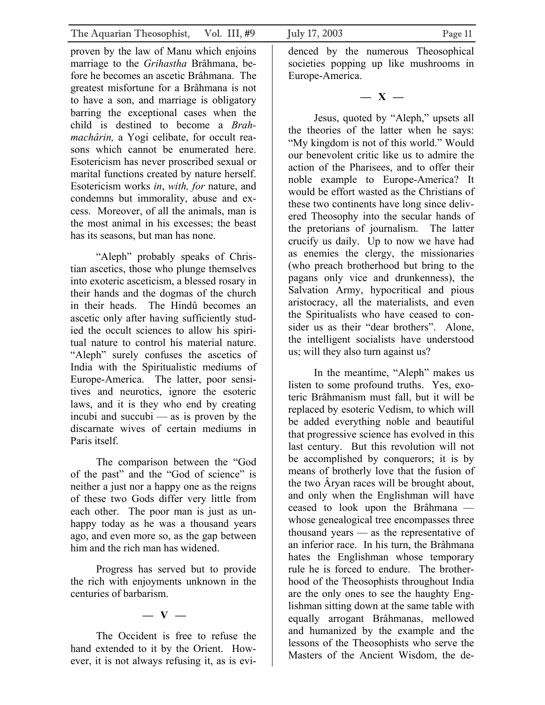proven by the law of Manu which enjoins marriage to the *Grihastha* Brâhmana, before he becomes an ascetic Brâhmana. The greatest misfortune for a Brâhmana is not to have a son, and marriage is obligatory barring the exceptional cases when the child is destined to become a *Brahmachârin,* a Yogi celibate, for occult reasons which cannot be enumerated here. Esotericism has never proscribed sexual or marital functions created by nature herself. Esotericism works *in*, *with, for* nature, and condemns but immorality, abuse and excess. Moreover, of all the animals, man is the most animal in his excesses; the beast has its seasons, but man has none.

"Aleph" probably speaks of Christian ascetics, those who plunge themselves into exoteric asceticism, a blessed rosary in their hands and the dogmas of the church in their heads. The Hindû becomes an ascetic only after having sufficiently studied the occult sciences to allow his spiritual nature to control his material nature. "Aleph" surely confuses the ascetics of India with the Spiritualistic mediums of Europe-America. The latter, poor sensitives and neurotics, ignore the esoteric laws, and it is they who end by creating incubi and succubi — as is proven by the discarnate wives of certain mediums in Paris itself.

The comparison between the "God of the past" and the "God of science" is neither a just nor a happy one as the reigns of these two Gods differ very little from each other. The poor man is just as unhappy today as he was a thousand years ago, and even more so, as the gap between him and the rich man has widened.

Progress has served but to provide the rich with enjoyments unknown in the centuries of barbarism.

**— V —** 

The Occident is free to refuse the hand extended to it by the Orient. However, it is not always refusing it, as is evi**— X —** 

Jesus, quoted by "Aleph," upsets all the theories of the latter when he says: "My kingdom is not of this world." Would our benevolent critic like us to admire the action of the Pharisees, and to offer their noble example to Europe-America? It would be effort wasted as the Christians of these two continents have long since delivered Theosophy into the secular hands of the pretorians of journalism. The latter crucify us daily. Up to now we have had as enemies the clergy, the missionaries (who preach brotherhood but bring to the pagans only vice and drunkenness), the Salvation Army, hypocritical and pious aristocracy, all the materialists, and even the Spiritualists who have ceased to consider us as their "dear brothers". Alone, the intelligent socialists have understood us; will they also turn against us?

In the meantime, "Aleph" makes us listen to some profound truths. Yes, exoteric Brâhmanism must fall, but it will be replaced by esoteric Vedism, to which will be added everything noble and beautiful that progressive science has evolved in this last century. But this revolution will not be accomplished by conquerors; it is by means of brotherly love that the fusion of the two Âryan races will be brought about, and only when the Englishman will have ceased to look upon the Brâhmana whose genealogical tree encompasses three thousand years — as the representative of an inferior race. In his turn, the Brâhmana hates the Englishman whose temporary rule he is forced to endure. The brotherhood of the Theosophists throughout India are the only ones to see the haughty Englishman sitting down at the same table with equally arrogant Brâhmanas, mellowed and humanized by the example and the lessons of the Theosophists who serve the Masters of the Ancient Wisdom, the de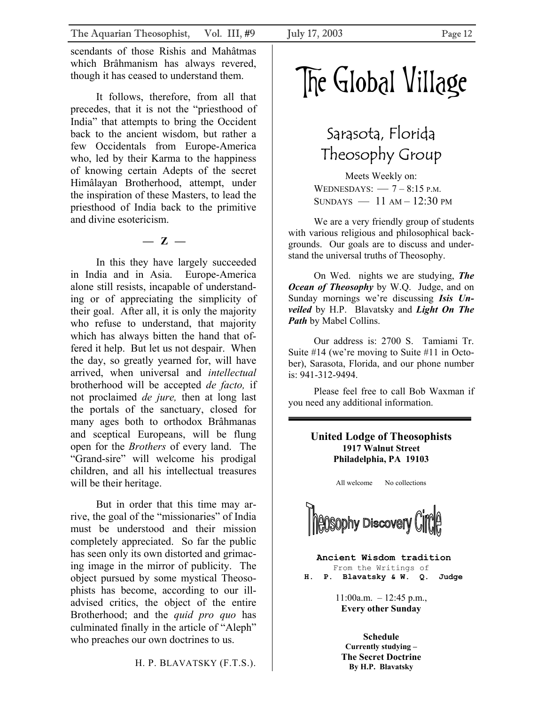<span id="page-11-0"></span>scendants of those Rishis and Mahâtmas which Brâhmanism has always revered, though it has ceased to understand them.

It follows, therefore, from all that precedes, that it is not the "priesthood of India" that attempts to bring the Occident back to the ancient wisdom, but rather a few Occidentals from Europe-America who, led by their Karma to the happiness of knowing certain Adepts of the secret Himâlayan Brotherhood, attempt, under the inspiration of these Masters, to lead the priesthood of India back to the primitive and divine esotericism.

**— Z —** 

In this they have largely succeeded in India and in Asia. Europe-America alone still resists, incapable of understanding or of appreciating the simplicity of their goal. After all, it is only the majority who refuse to understand, that majority which has always bitten the hand that offered it help. But let us not despair. When the day, so greatly yearned for, will have arrived, when universal and *intellectual*  brotherhood will be accepted *de facto,* if not proclaimed *de jure,* then at long last the portals of the sanctuary, closed for many ages both to orthodox Brâhmanas and sceptical Europeans, will be flung open for the *Brothers* of every land. The "Grand-sire" will welcome his prodigal children, and all his intellectual treasures will be their heritage.

But in order that this time may arrive, the goal of the "missionaries" of India must be understood and their mission completely appreciated. So far the public has seen only its own distorted and grimacing image in the mirror of publicity. The object pursued by some mystical Theosophists has become, according to our illadvised critics, the object of the entire Brotherhood; and the *quid pro quo* has culminated finally in the article of "Aleph" who preaches our own doctrines to us.

H. P. BLAVATSKY (F.T.S.).

# The Global Village

# Sarasota, Florida Theosophy Group

Meets Weekly on: WEDNESDAYS:  $-7-8.15$  P.M. SUNDAYS  $- 11$  AM  $- 12:30$  PM

We are a very friendly group of students with various religious and philosophical backgrounds. Our goals are to discuss and understand the universal truths of Theosophy.

On Wed. nights we are studying, *The Ocean of Theosophy* by W.Q. Judge, and on Sunday mornings we're discussing *Isis Unveiled* by H.P. Blavatsky and *Light On The Path* by Mabel Collins.

Our address is: 2700 S. Tamiami Tr. Suite #14 (we're moving to Suite #11 in October), Sarasota, Florida, and our phone number is: 941-312-9494.

Please feel free to call Bob Waxman if you need any additional information.

### **United Lodge of Theosophists 1917 Walnut Street Philadelphia, PA 19103**

All welcome No collections



**Ancient Wisdom tradition**  From the Writings of  **H. P. Blavatsky & W. Q. Judge**

> $11:00a.m. - 12:45 p.m.$ **Every other Sunday**

**Schedule Currently studying – The Secret Doctrine By H.P. Blavatsky**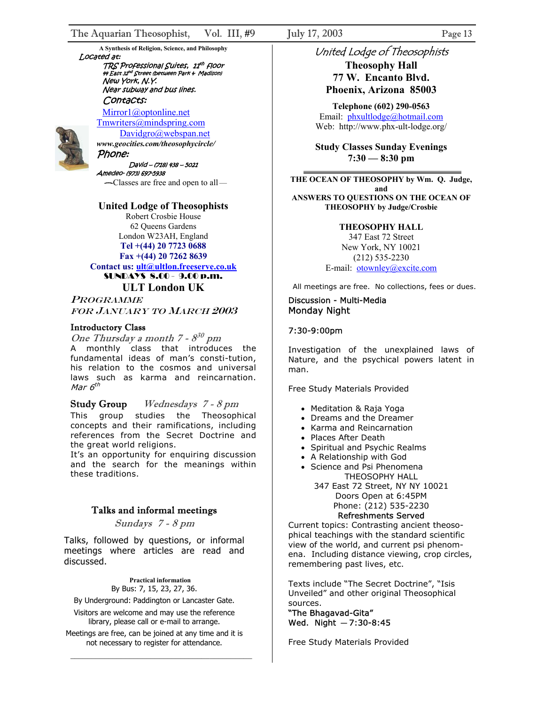**A Synthesis of Religion, Science, and Philosophy** Located at:

en Park & Madison) TRS Professional Suites, 11 th floor 44 East 32<sup>nd</sup> Street (betw New York, N.Y. Near subway and bus lines. Contacts:

[Mirror1@optonline.net](mailto:Mirror1@optonline.net) [Tmwriters@mindspring.com](mailto:Tmwriters@mindspring.com)

[Davidgro@webspan.net](mailto:Davidgro@webspan.net)

*www.geocities.com/theosophycircle/*  Phone:

 David – (718) 438 – 5021 Amedeo- (973) 697-5938

— Classes are free and open to all—

### **United Lodge of Theosophists**

Robert Crosbie House 62 Queens Gardens London W23AH, England **Tel +(44) 20 7723 0688 Fax +(44) 20 7262 8639**

### **Contact us: [ult@ultlon.freeserve.co.uk](mailto:ult@ultlon.freeserve.co.uk)**

SUNDAYS 8.00 - 9.00 p.m. **ULT London UK** 

PROGRAMME FOR JANUARY TO MARCH 2003

### Introductory Class

One Thursday a month  $7 - 8^{30}$  pm A monthly class that introduces the fundamental ideas of man's consti-tution, his relation to the cosmos and universal laws such as karma and reincarnation. Mar  $6^{th}$ 

Study Group *Wednesdays* 7 - 8 pm This group studies the Theosophical concepts and their ramifications, including references from the Secret Doctrine and the great world religions.

It's an opportunity for enquiring discussion and the search for the meanings within these traditions.

### Talks and informal meetings

Sundays 7 - 8 pm

Talks, followed by questions, or informal meetings where articles are read and discussed.

> **Practical information**  By Bus: 7, 15, 23, 27, 36.

By Underground: Paddington or Lancaster Gate.

Visitors are welcome and may use the reference library, please call or e-mail to arrange.

Meetings are free, can be joined at any time and it is not necessary to register for attendance.

### United Lodge of Theosophists **Theosophy Hall 77 W. Encanto Blvd. Phoenix, Arizona 85003**

**Telephone (602) 290-0563** Email: [phxultlodge@hotmail.com](mailto:phxultlodge@hotmail.com) Web: http://www.phx-ult-lodge.org/

**Study Classes Sunday Evenings 7:30 — 8:30 pm**

**THE OCEAN OF THEOSOPHY by Wm. Q. Judge,** 

**and ANSWERS TO QUESTIONS ON THE OCEAN OF THEOSOPHY by Judge/Crosbie**

### **THEOSOPHY HALL**

347 East 72 Street New York, NY 10021 (212) 535-2230 E-mail: [otownley@excite.com](mailto:otownley@excite.com)

All meetings are free. No collections, fees or dues.

#### Discussion - Multi-Media Monday Night

### 7:30-9:00pm

Investigation of the unexplained laws of Nature, and the psychical powers latent in man.

Free Study Materials Provided

- Meditation & Raja Yoga
- Dreams and the Dreamer
- Karma and Reincarnation
- Places After Death
- Spiritual and Psychic Realms
- A Relationship with God
- Science and Psi Phenomena THEOSOPHY HALL

347 East 72 Street, NY NY 10021 Doors Open at 6:45PM Phone: (212) 535-2230 Refreshments Served

Current topics: Contrasting ancient theosophical teachings with the standard scientific view of the world, and current psi phenomena. Including distance viewing, crop circles, remembering past lives, etc.

Texts include "The Secret Doctrine", "Isis Unveiled" and other original Theosophical sources.

"The Bhagavad-Gita" Wed. Night — 7:30-8:45

Free Study Materials Provided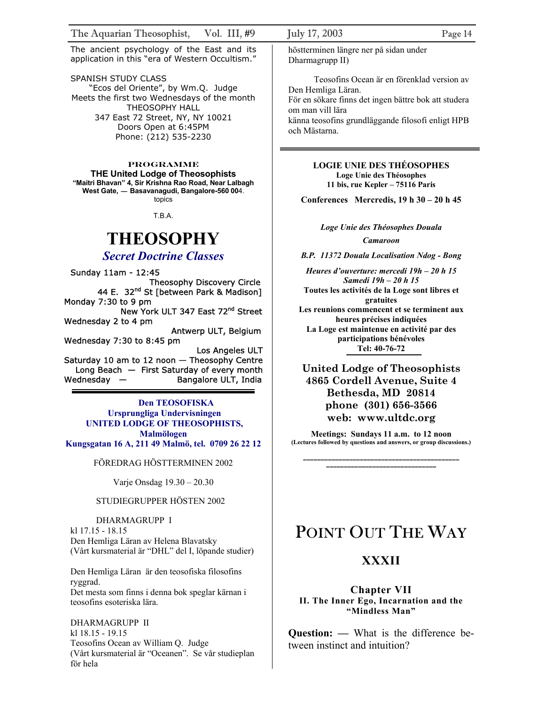<span id="page-13-0"></span>

| The Aquarian Theosophist,<br>Vol. III, $\#9$                                                                                                                                                                                                                                                                                                                                                                      | July 17, 2003<br>Page 14                                                                                                                                                                                                                                                                                                                                                                            |
|-------------------------------------------------------------------------------------------------------------------------------------------------------------------------------------------------------------------------------------------------------------------------------------------------------------------------------------------------------------------------------------------------------------------|-----------------------------------------------------------------------------------------------------------------------------------------------------------------------------------------------------------------------------------------------------------------------------------------------------------------------------------------------------------------------------------------------------|
| The ancient psychology of the East and its<br>application in this "era of Western Occultism."                                                                                                                                                                                                                                                                                                                     | höstterminen längre ner på sidan under<br>Dharmagrupp II)                                                                                                                                                                                                                                                                                                                                           |
| SPANISH STUDY CLASS<br>"Ecos del Oriente", by Wm.Q. Judge<br>Meets the first two Wednesdays of the month<br>THEOSOPHY HALL<br>347 East 72 Street, NY, NY 10021<br>Doors Open at 6:45PM<br>Phone: (212) 535-2230                                                                                                                                                                                                   | Teosofins Ocean är en förenklad version av<br>Den Hemliga Läran.<br>För en sökare finns det ingen bättre bok att studera<br>om man vill lära<br>känna teosofins grundläggande filosofi enligt HPB<br>och Mästarna.                                                                                                                                                                                  |
| <b>PROGRAMME</b><br><b>THE United Lodge of Theosophists</b><br>"Maitri Bhavan" 4, Sir Krishna Rao Road, Near Lalbagh<br>West Gate, - Basavanagudi, Bangalore-560 004.<br>topics                                                                                                                                                                                                                                   | <b>LOGIE UNIE DES THÉOSOPHES</b><br>Loge Unie des Théosophes<br>11 bis, rue Kepler - 75116 Paris<br>Conferences Mercredis, $19 h 30 - 20 h 45$                                                                                                                                                                                                                                                      |
| T.B.A.                                                                                                                                                                                                                                                                                                                                                                                                            |                                                                                                                                                                                                                                                                                                                                                                                                     |
| <b>THEOSOPHY</b>                                                                                                                                                                                                                                                                                                                                                                                                  | Loge Unie des Théosophes Douala<br><b>Camaroon</b>                                                                                                                                                                                                                                                                                                                                                  |
| <b>Secret Doctrine Classes</b>                                                                                                                                                                                                                                                                                                                                                                                    | <b>B.P. 11372 Douala Localisation Ndog - Bong</b>                                                                                                                                                                                                                                                                                                                                                   |
| Sunday 11am - 12:45<br>Theosophy Discovery Circle<br>44 E. 32 <sup>nd</sup> St [between Park & Madison]<br>Monday 7:30 to 9 pm<br>New York ULT 347 East 72 <sup>nd</sup> Street<br>Wednesday 2 to 4 pm<br>Antwerp ULT, Belgium<br>Wednesday 7:30 to 8:45 pm<br>Los Angeles ULT<br>Saturday 10 am to 12 noon - Theosophy Centre<br>Long Beach - First Saturday of every month<br>Wednesday<br>Bangalore ULT, India | Heures d'ouverture: mercedi 19h - 20 h 15<br>Samedi 19h – 20 h 15<br>Toutes les activités de la Loge sont libres et<br>gratuites<br>Les reunions commencent et se terminent aux<br>heures précises indiquées<br>La Loge est maintenue en activité par des<br>participations bénévoles<br>Tel: 40-76-72<br><b>United Lodge of Theosophists</b><br>4865 Cordell Avenue, Suite 4<br>Bethesda, MD 20814 |
| <b>Den TEOSOFISKA</b><br><b>Ursprungliga Undervisningen</b><br>UNITED LODGE OF THEOSOPHISTS,                                                                                                                                                                                                                                                                                                                      | phone (301) 656-3566<br>web: www.ultdc.org                                                                                                                                                                                                                                                                                                                                                          |
| Malmölogen<br>Kungsgatan 16 A, 211 49 Malmö, tel. 0709 26 22 12                                                                                                                                                                                                                                                                                                                                                   | Meetings: Sundays 11 a.m. to 12 noon<br>(Lectures followed by questions and answers, or group discussions.)                                                                                                                                                                                                                                                                                         |
| FÖREDRAG HÖSTTERMINEN 2002                                                                                                                                                                                                                                                                                                                                                                                        |                                                                                                                                                                                                                                                                                                                                                                                                     |
| Varje Onsdag $19.30 - 20.30$                                                                                                                                                                                                                                                                                                                                                                                      |                                                                                                                                                                                                                                                                                                                                                                                                     |
| STUDIEGRUPPER HÖSTEN 2002                                                                                                                                                                                                                                                                                                                                                                                         |                                                                                                                                                                                                                                                                                                                                                                                                     |
| <b>DHARMAGRUPP I</b><br>kl 17.15 - 18.15<br>Den Hemliga Läran av Helena Blavatsky<br>(Vårt kursmaterial är "DHL" del I, löpande studier)                                                                                                                                                                                                                                                                          | POINT OUT THE WAY<br>XXXII                                                                                                                                                                                                                                                                                                                                                                          |
| Den Hemliga Läran är den teosofiska filosofins<br>ryggrad.<br>Det mesta som finns i denna bok speglar kärnan i<br>teosofins esoteriska lära.                                                                                                                                                                                                                                                                      | <b>Chapter VII</b><br>II. The Inner Ego, Incarnation and the                                                                                                                                                                                                                                                                                                                                        |

DHARMAGRUPP II kl 18.15 - 19.15 Teosofins Ocean av William Q. Judge (Vårt kursmaterial är "Oceanen". Se vår studieplan för hela

**"Mindless Man"**

**Question: —** What is the difference between instinct and intuition?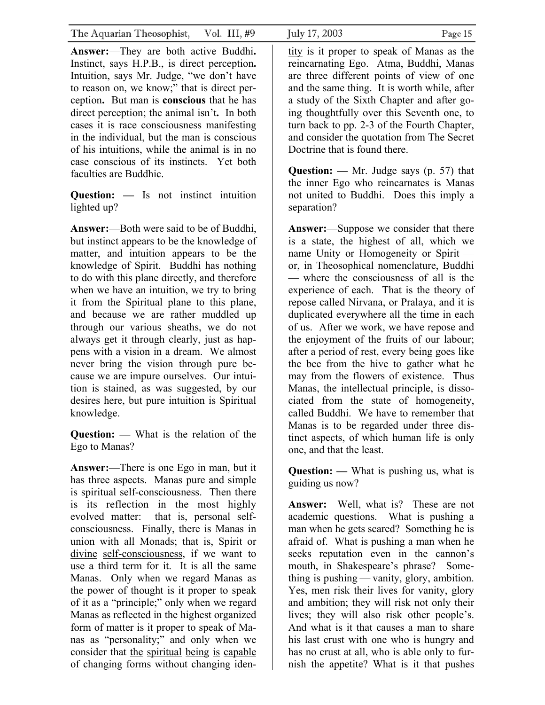| The Aquarian Theosophist,                                                                                                                                                                                                                                                                                                                                                                                                                                 | July 17, 2003                                                                                                                                                                                                                                                                                                                                                                              |
|-----------------------------------------------------------------------------------------------------------------------------------------------------------------------------------------------------------------------------------------------------------------------------------------------------------------------------------------------------------------------------------------------------------------------------------------------------------|--------------------------------------------------------------------------------------------------------------------------------------------------------------------------------------------------------------------------------------------------------------------------------------------------------------------------------------------------------------------------------------------|
| Vol. III, $#9$                                                                                                                                                                                                                                                                                                                                                                                                                                            | Page 15                                                                                                                                                                                                                                                                                                                                                                                    |
| <b>Answer:</b> —They are both active Buddhi.                                                                                                                                                                                                                                                                                                                                                                                                              | tity is it proper to speak of Manas as the                                                                                                                                                                                                                                                                                                                                                 |
| Instinct, says H.P.B., is direct perception.                                                                                                                                                                                                                                                                                                                                                                                                              | reincarnating Ego. Atma, Buddhi, Manas                                                                                                                                                                                                                                                                                                                                                     |
| Intuition, says Mr. Judge, "we don't have                                                                                                                                                                                                                                                                                                                                                                                                                 | are three different points of view of one                                                                                                                                                                                                                                                                                                                                                  |
| to reason on, we know;" that is direct per-                                                                                                                                                                                                                                                                                                                                                                                                               | and the same thing. It is worth while, after                                                                                                                                                                                                                                                                                                                                               |
| ception. But man is <b>conscious</b> that he has                                                                                                                                                                                                                                                                                                                                                                                                          | a study of the Sixth Chapter and after go-                                                                                                                                                                                                                                                                                                                                                 |
| direct perception; the animal isn't. In both                                                                                                                                                                                                                                                                                                                                                                                                              | ing thoughtfully over this Seventh one, to                                                                                                                                                                                                                                                                                                                                                 |
| cases it is race consciousness manifesting                                                                                                                                                                                                                                                                                                                                                                                                                | turn back to pp. 2-3 of the Fourth Chapter,                                                                                                                                                                                                                                                                                                                                                |
| in the individual, but the man is conscious                                                                                                                                                                                                                                                                                                                                                                                                               | and consider the quotation from The Secret                                                                                                                                                                                                                                                                                                                                                 |
| of his intuitions, while the animal is in no                                                                                                                                                                                                                                                                                                                                                                                                              | Doctrine that is found there.                                                                                                                                                                                                                                                                                                                                                              |
| case conscious of its instincts. Yet both                                                                                                                                                                                                                                                                                                                                                                                                                 | <b>Question:</b> $-$ Mr. Judge says (p. 57) that                                                                                                                                                                                                                                                                                                                                           |
| faculties are Buddhic.                                                                                                                                                                                                                                                                                                                                                                                                                                    | the inner Ego who reincarnates is Manas                                                                                                                                                                                                                                                                                                                                                    |
| Question: - Is not instinct intuition                                                                                                                                                                                                                                                                                                                                                                                                                     | not united to Buddhi. Does this imply a                                                                                                                                                                                                                                                                                                                                                    |
| lighted up?                                                                                                                                                                                                                                                                                                                                                                                                                                               | separation?                                                                                                                                                                                                                                                                                                                                                                                |
| <b>Answer:</b> —Both were said to be of Buddhi,                                                                                                                                                                                                                                                                                                                                                                                                           | <b>Answer:</b> —Suppose we consider that there                                                                                                                                                                                                                                                                                                                                             |
| but instinct appears to be the knowledge of                                                                                                                                                                                                                                                                                                                                                                                                               | is a state, the highest of all, which we                                                                                                                                                                                                                                                                                                                                                   |
| matter, and intuition appears to be the                                                                                                                                                                                                                                                                                                                                                                                                                   | name Unity or Homogeneity or Spirit —                                                                                                                                                                                                                                                                                                                                                      |
| knowledge of Spirit. Buddhi has nothing                                                                                                                                                                                                                                                                                                                                                                                                                   | or, in Theosophical nomenclature, Buddhi                                                                                                                                                                                                                                                                                                                                                   |
| to do with this plane directly, and therefore                                                                                                                                                                                                                                                                                                                                                                                                             | — where the consciousness of all is the                                                                                                                                                                                                                                                                                                                                                    |
| when we have an intuition, we try to bring                                                                                                                                                                                                                                                                                                                                                                                                                | experience of each. That is the theory of                                                                                                                                                                                                                                                                                                                                                  |
| it from the Spiritual plane to this plane,                                                                                                                                                                                                                                                                                                                                                                                                                | repose called Nirvana, or Pralaya, and it is                                                                                                                                                                                                                                                                                                                                               |
| and because we are rather muddled up                                                                                                                                                                                                                                                                                                                                                                                                                      | duplicated everywhere all the time in each                                                                                                                                                                                                                                                                                                                                                 |
| through our various sheaths, we do not                                                                                                                                                                                                                                                                                                                                                                                                                    | of us. After we work, we have repose and                                                                                                                                                                                                                                                                                                                                                   |
| always get it through clearly, just as hap-                                                                                                                                                                                                                                                                                                                                                                                                               | the enjoyment of the fruits of our labour;                                                                                                                                                                                                                                                                                                                                                 |
| pens with a vision in a dream. We almost                                                                                                                                                                                                                                                                                                                                                                                                                  | after a period of rest, every being goes like                                                                                                                                                                                                                                                                                                                                              |
| never bring the vision through pure be-                                                                                                                                                                                                                                                                                                                                                                                                                   | the bee from the hive to gather what he                                                                                                                                                                                                                                                                                                                                                    |
| cause we are impure ourselves. Our intui-                                                                                                                                                                                                                                                                                                                                                                                                                 | may from the flowers of existence. Thus                                                                                                                                                                                                                                                                                                                                                    |
| tion is stained, as was suggested, by our                                                                                                                                                                                                                                                                                                                                                                                                                 | Manas, the intellectual principle, is disso-                                                                                                                                                                                                                                                                                                                                               |
| desires here, but pure intuition is Spiritual                                                                                                                                                                                                                                                                                                                                                                                                             | ciated from the state of homogeneity,                                                                                                                                                                                                                                                                                                                                                      |
| knowledge.                                                                                                                                                                                                                                                                                                                                                                                                                                                | called Buddhi. We have to remember that                                                                                                                                                                                                                                                                                                                                                    |
| <b>Question:</b> - What is the relation of the<br>Ego to Manas?                                                                                                                                                                                                                                                                                                                                                                                           | Manas is to be regarded under three dis-<br>tinct aspects, of which human life is only<br>one, and that the least.                                                                                                                                                                                                                                                                         |
| <b>Answer:</b> —There is one Ego in man, but it<br>has three aspects. Manas pure and simple<br>is spiritual self-consciousness. Then there<br>is its reflection in the most highly<br>evolved matter: that is, personal self-<br>consciousness. Finally, there is Manas in<br>union with all Monads; that is, Spirit or<br>divine self-consciousness, if we want to<br>use a third term for it. It is all the same<br>Manas. Only when we regard Manas as | <b>Question:</b> $\qquad$ What is pushing us, what is<br>guiding us now?<br><b>Answer:</b> —Well, what is? These are not<br>academic questions. What is pushing a<br>man when he gets scared? Something he is<br>afraid of. What is pushing a man when he<br>seeks reputation even in the cannon's<br>mouth, in Shakespeare's phrase? Some-<br>thing is pushing — vanity, glory, ambition. |

the power of thought is it proper to speak of it as a "principle;" only when we regard Manas as reflected in the highest organized form of matter is it proper to speak of Manas as "personality;" and only when we consider that the spiritual being is capable of changing forms without changing iden-

thing is pushing — vanity, glory, ambition. Yes, men risk their lives for vanity, glory and ambition; they will risk not only their lives; they will also risk other people's. And what is it that causes a man to share his last crust with one who is hungry and has no crust at all, who is able only to furnish the appetite? What is it that pushes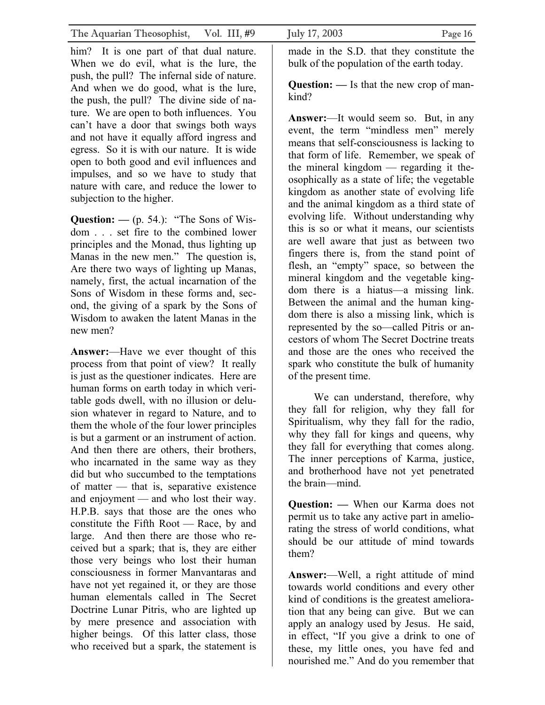him? It is one part of that dual nature. When we do evil, what is the lure, the push, the pull? The infernal side of nature. And when we do good, what is the lure, the push, the pull? The divine side of nature. We are open to both influences. You can't have a door that swings both ways and not have it equally afford ingress and egress. So it is with our nature. It is wide open to both good and evil influences and impulses, and so we have to study that nature with care, and reduce the lower to subjection to the higher.

**Question:**  $-$  (p. 54.): "The Sons of Wisdom . . . set fire to the combined lower principles and the Monad, thus lighting up Manas in the new men." The question is, Are there two ways of lighting up Manas, namely, first, the actual incarnation of the Sons of Wisdom in these forms and, second, the giving of a spark by the Sons of Wisdom to awaken the latent Manas in the new men?

**Answer:**—Have we ever thought of this process from that point of view? It really is just as the questioner indicates. Here are human forms on earth today in which veritable gods dwell, with no illusion or delusion whatever in regard to Nature, and to them the whole of the four lower principles is but a garment or an instrument of action. And then there are others, their brothers, who incarnated in the same way as they did but who succumbed to the temptations of matter — that is, separative existence and enjoyment — and who lost their way. H.P.B. says that those are the ones who constitute the Fifth Root — Race, by and large. And then there are those who received but a spark; that is, they are either those very beings who lost their human consciousness in former Manvantaras and have not yet regained it, or they are those human elementals called in The Secret Doctrine Lunar Pitris, who are lighted up by mere presence and association with higher beings. Of this latter class, those who received but a spark, the statement is

made in the S.D. that they constitute the bulk of the population of the earth today.

**Question: —** Is that the new crop of mankind?

**Answer:**—It would seem so. But, in any event, the term "mindless men" merely means that self-consciousness is lacking to that form of life. Remember, we speak of the mineral kingdom — regarding it theosophically as a state of life; the vegetable kingdom as another state of evolving life and the animal kingdom as a third state of evolving life. Without understanding why this is so or what it means, our scientists are well aware that just as between two fingers there is, from the stand point of flesh, an "empty" space, so between the mineral kingdom and the vegetable kingdom there is a hiatus—a missing link. Between the animal and the human kingdom there is also a missing link, which is represented by the so—called Pitris or ancestors of whom The Secret Doctrine treats and those are the ones who received the spark who constitute the bulk of humanity of the present time.

We can understand, therefore, why they fall for religion, why they fall for Spiritualism, why they fall for the radio, why they fall for kings and queens, why they fall for everything that comes along. The inner perceptions of Karma, justice, and brotherhood have not yet penetrated the brain—mind.

**Question: —** When our Karma does not permit us to take any active part in ameliorating the stress of world conditions, what should be our attitude of mind towards them?

**Answer:**—Well, a right attitude of mind towards world conditions and every other kind of conditions is the greatest amelioration that any being can give. But we can apply an analogy used by Jesus. He said, in effect, "If you give a drink to one of these, my little ones, you have fed and nourished me." And do you remember that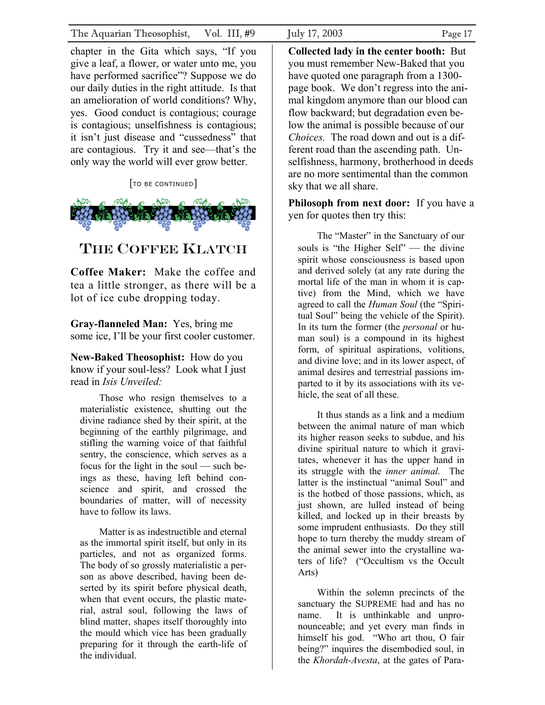<span id="page-16-0"></span>chapter in the Gita which says, "If you give a leaf, a flower, or water unto me, you have performed sacrifice"? Suppose we do our daily duties in the right attitude. Is that an amelioration of world conditions? Why, yes. Good conduct is contagious; courage is contagious; unselfishness is contagious; it isn't just disease and "cussedness" that are contagious. Try it and see—that's the only way the world will ever grow better.

### [TO BE CONTINUED]



### THE COFFEE KLATCH

**Coffee Maker:** Make the coffee and tea a little stronger, as there will be a lot of ice cube dropping today.

**Gray-flanneled Man:** Yes, bring me some ice, I'll be your first cooler customer.

**New-Baked Theosophist:** How do you know if your soul-less? Look what I just read in *Isis Unveiled:*

Those who resign themselves to a materialistic existence, shutting out the divine radiance shed by their spirit, at the beginning of the earthly pilgrimage, and stifling the warning voice of that faithful sentry, the conscience, which serves as a focus for the light in the soul — such beings as these, having left behind conscience and spirit, and crossed the boundaries of matter, will of necessity have to follow its laws.

Matter is as indestructible and eternal as the immortal spirit itself, but only in its particles, and not as organized forms. The body of so grossly materialistic a person as above described, having been deserted by its spirit before physical death, when that event occurs, the plastic material, astral soul, following the laws of blind matter, shapes itself thoroughly into the mould which vice has been gradually preparing for it through the earth-life of the individual.

**Collected lady in the center booth:** But you must remember New-Baked that you have quoted one paragraph from a 1300 page book. We don't regress into the animal kingdom anymore than our blood can flow backward; but degradation even below the animal is possible because of our *Choices.* The road down and out is a different road than the ascending path. Unselfishness, harmony, brotherhood in deeds are no more sentimental than the common sky that we all share.

**Philosoph from next door:** If you have a yen for quotes then try this:

The "Master" in the Sanctuary of our souls is "the Higher Self" — the divine spirit whose consciousness is based upon and derived solely (at any rate during the mortal life of the man in whom it is captive) from the Mind, which we have agreed to call the *Human Soul* (the "Spiritual Soul" being the vehicle of the Spirit). In its turn the former (the *personal* or human soul) is a compound in its highest form, of spiritual aspirations, volitions, and divine love; and in its lower aspect, of animal desires and terrestrial passions imparted to it by its associations with its vehicle, the seat of all these.

It thus stands as a link and a medium between the animal nature of man which its higher reason seeks to subdue, and his divine spiritual nature to which it gravitates, whenever it has the upper hand in its struggle with the *inner animal.* The latter is the instinctual "animal Soul" and is the hotbed of those passions, which, as just shown, are lulled instead of being killed, and locked up in their breasts by some imprudent enthusiasts. Do they still hope to turn thereby the muddy stream of the animal sewer into the crystalline waters of life? ("Occultism vs the Occult Arts)

Within the solemn precincts of the sanctuary the SUPREME had and has no name. It is unthinkable and unpronounceable; and yet every man finds in himself his god. "Who art thou, O fair being?" inquires the disembodied soul, in the *Khordah-Avesta*, at the gates of Para-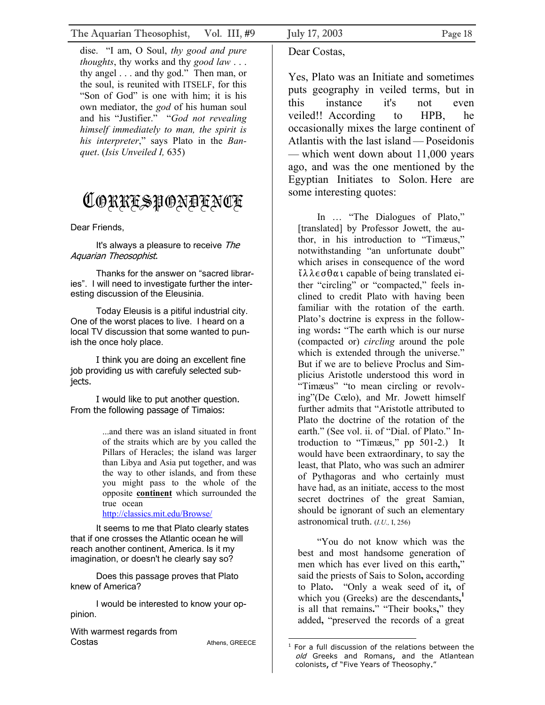<span id="page-17-0"></span>dise. "I am, O Soul, *thy good and pure thoughts*, thy works and thy *good law* . . . thy angel . . . and thy god." Then man, or the soul, is reunited with ITSELF, for this "Son of God" is one with him; it is his own mediator, the *god* of his human soul and his "Justifier." "*God not revealing himself immediately to man, the spirit is his interpreter*," says Plato in the *Banquet*. (*Isis Unveiled I,* 635)

# CORRESPONDENCE

Dear Friends,

It's always a pleasure to receive The Aquarian Theosophist.

Thanks for the answer on "sacred libraries". I will need to investigate further the interesting discussion of the Eleusinia.

Today Eleusis is a pitiful industrial city. One of the worst places to live. I heard on a local TV discussion that some wanted to punish the once holy place.

I think you are doing an excellent fine job providing us with carefuly selected subjects.

I would like to put another question. From the following passage of Timaios:

> ...and there was an island situated in front of the straits which are by you called the Pillars of Heracles; the island was larger than Libya and Asia put together, and was the way to other islands, and from these you might pass to the whole of the opposite **continent** which surrounded the true ocean

<http://classics.mit.edu/Browse/>

It seems to me that Plato clearly states that if one crosses the Atlantic ocean he will reach another continent, America. Is it my imagination, or doesn't he clearly say so?

Does this passage proves that Plato knew of America?

I would be interested to know your oppinion.

With warmest regards from Costas **Athens**, GREECE

Dear Costas,

Yes, Plato was an Initiate and sometimes puts geography in veiled terms, but in this instance it's not even veiled!! According to HPB, he occasionally mixes the large continent of Atlantis with the last island — Poseidonis — which went down about 11,000 years ago, and was the one mentioned by the Egyptian Initiates to Solon. Here are some interesting quotes:

In … "The Dialogues of Plato," [translated] by Professor Jowett, the author, in his introduction to "Timæus," notwithstanding "an unfortunate doubt" which arises in consequence of the word  $i\lambda\lambda\epsilon\sigma\theta\alpha\iota$  capable of being translated either "circling" or "compacted," feels inclined to credit Plato with having been familiar with the rotation of the earth. Plato's doctrine is express in the following words**:** "The earth which is our nurse (compacted or) *circling* around the pole which is extended through the universe." But if we are to believe Proclus and Simplicius Aristotle understood this word in "Timæus" "to mean circling or revolving"(De Cœlo), and Mr. Jowett himself further admits that "Aristotle attributed to Plato the doctrine of the rotation of the earth." (See vol. ii. of "Dial. of Plato." Introduction to "Timæus," pp 501-2.) It would have been extraordinary, to say the least, that Plato, who was such an admirer of Pythagoras and who certainly must have had, as an initiate, access to the most secret doctrines of the great Samian, should be ignorant of such an elementary astronomical truth. (*I.U.,* I, 256)

"You do not know which was the best and most handsome generation of men which has ever lived on this earth**,**" said the priests of Sais to Solon**,** according to Plato**.** "Only a weak seed of it**,** of which you (Greeks) are the descendants**, [1](#page-17-1)** is all that remains**.**" "Their books**,**" they added**,** "preserved the records of a great

<span id="page-17-1"></span> 1 For a full discussion of the relations between the old Greeks and Romans, and the Atlantean colonists, cf "Five Years of Theosophy."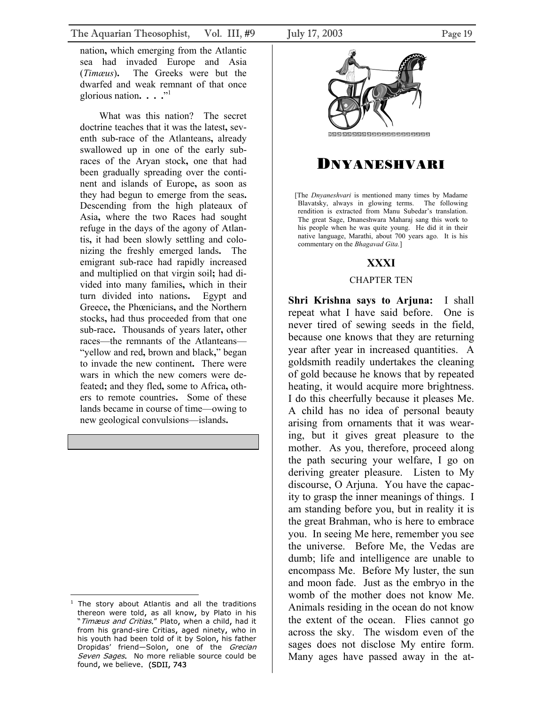<span id="page-18-0"></span>nation**,** which emerging from the Atlantic sea had invaded Europe and Asia (*Timæus*)**.** The Greeks were but the dwarfed and weak remnant of that once glorious nation**. . . .**" [1](#page-18-1)

What was this nation? The secret doctrine teaches that it was the latest**,** seventh sub-race of the Atlanteans**,** already swallowed up in one of the early subraces of the Aryan stock**,** one that had been gradually spreading over the continent and islands of Europe**,** as soon as they had begun to emerge from the seas**.** Descending from the high plateaux of Asia**,** where the two Races had sought refuge in the days of the agony of Atlantis**,** it had been slowly settling and colonizing the freshly emerged lands**.** The emigrant sub-race had rapidly increased and multiplied on that virgin soil**;** had divided into many families**,** which in their turn divided into nations**.** Egypt and Greece**,** the Phœnicians**,** and the Northern stocks**,** had thus proceeded from that one sub-race**.** Thousands of years later**,** other races—the remnants of the Atlanteans— "yellow and red**,** brown and black**,**" began to invade the new continent**.** There were wars in which the new comers were defeated**;** and they fled**,** some to Africa**,** others to remote countries**.** Some of these lands became in course of time—owing to new geological convulsions—islands**.**



### DNYANESHVARI

[The *Dnyaneshvari* is mentioned many times by Madame Blavatsky, always in glowing terms. The following rendition is extracted from Manu Subedar's translation. The great Sage, Dnaneshwara Maharaj sang this work to his people when he was quite young. He did it in their native language, Marathi, about 700 years ago. It is his commentary on the *Bhagavad Gita.*]

### **XXXI**

### CHAPTER TEN

**Shri Krishna says to Arjuna:** I shall repeat what I have said before. One is never tired of sewing seeds in the field, because one knows that they are returning year after year in increased quantities. A goldsmith readily undertakes the cleaning of gold because he knows that by repeated heating, it would acquire more brightness. I do this cheerfully because it pleases Me. A child has no idea of personal beauty arising from ornaments that it was wearing, but it gives great pleasure to the mother. As you, therefore, proceed along the path securing your welfare, I go on deriving greater pleasure. Listen to My discourse, O Arjuna. You have the capacity to grasp the inner meanings of things. I am standing before you, but in reality it is the great Brahman, who is here to embrace you. In seeing Me here, remember you see the universe. Before Me, the Vedas are dumb; life and intelligence are unable to encompass Me. Before My luster, the sun and moon fade. Just as the embryo in the womb of the mother does not know Me. Animals residing in the ocean do not know the extent of the ocean. Flies cannot go across the sky. The wisdom even of the sages does not disclose My entire form. Many ages have passed away in the at-

<span id="page-18-1"></span> <sup>1</sup> The story about Atlantis and all the traditions thereon were told, as all know, by Plato in his "Timæus and Critias." Plato, when a child, had it from his grand-sire Critias, aged ninety, who in his youth had been told of it by Solon, his father Dropidas' friend-Solon, one of the Grecian Seven Sages. No more reliable source could be found, we believe. (SDII, 743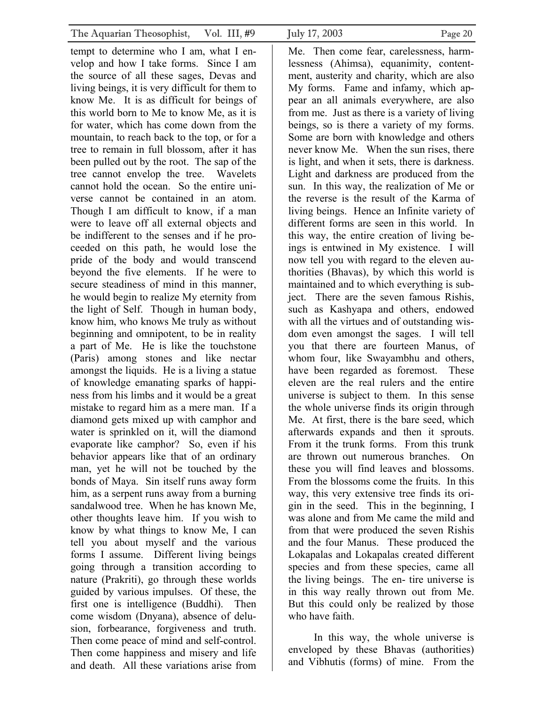tempt to determine who I am, what I envelop and how I take forms. Since I am the source of all these sages, Devas and living beings, it is very difficult for them to know Me. It is as difficult for beings of this world born to Me to know Me, as it is for water, which has come down from the mountain, to reach back to the top, or for a tree to remain in full blossom, after it has been pulled out by the root. The sap of the tree cannot envelop the tree. Wavelets cannot hold the ocean. So the entire universe cannot be contained in an atom. Though I am difficult to know, if a man were to leave off all external objects and be indifferent to the senses and if he proceeded on this path, he would lose the pride of the body and would transcend beyond the five elements. If he were to secure steadiness of mind in this manner, he would begin to realize My eternity from the light of Self. Though in human body, know him, who knows Me truly as without beginning and omnipotent, to be in reality a part of Me. He is like the touchstone (Paris) among stones and like nectar amongst the liquids. He is a living a statue of knowledge emanating sparks of happiness from his limbs and it would be a great mistake to regard him as a mere man. If a diamond gets mixed up with camphor and water is sprinkled on it, will the diamond evaporate like camphor? So, even if his behavior appears like that of an ordinary man, yet he will not be touched by the bonds of Maya. Sin itself runs away form him, as a serpent runs away from a burning sandalwood tree. When he has known Me, other thoughts leave him. If you wish to know by what things to know Me, I can tell you about myself and the various forms I assume. Different living beings going through a transition according to nature (Prakriti), go through these worlds guided by various impulses. Of these, the first one is intelligence (Buddhi). Then come wisdom (Dnyana), absence of delusion, forbearance, forgiveness and truth. Then come peace of mind and self-control. Then come happiness and misery and life and death. All these variations arise from

Me. Then come fear, carelessness, harmlessness (Ahimsa), equanimity, contentment, austerity and charity, which are also My forms. Fame and infamy, which appear an all animals everywhere, are also from me. Just as there is a variety of living beings, so is there a variety of my forms. Some are born with knowledge and others never know Me. When the sun rises, there is light, and when it sets, there is darkness. Light and darkness are produced from the sun. In this way, the realization of Me or the reverse is the result of the Karma of living beings. Hence an Infinite variety of different forms are seen in this world. In this way, the entire creation of living beings is entwined in My existence. I will now tell you with regard to the eleven authorities (Bhavas), by which this world is maintained and to which everything is subject. There are the seven famous Rishis, such as Kashyapa and others, endowed with all the virtues and of outstanding wisdom even amongst the sages. I will tell you that there are fourteen Manus, of whom four, like Swayambhu and others, have been regarded as foremost. These eleven are the real rulers and the entire universe is subject to them. In this sense the whole universe finds its origin through Me. At first, there is the bare seed, which afterwards expands and then it sprouts. From it the trunk forms. From this trunk are thrown out numerous branches. On these you will find leaves and blossoms. From the blossoms come the fruits. In this way, this very extensive tree finds its origin in the seed. This in the beginning, I was alone and from Me came the mild and from that were produced the seven Rishis and the four Manus. These produced the Lokapalas and Lokapalas created different species and from these species, came all the living beings. The en- tire universe is in this way really thrown out from Me. But this could only be realized by those who have faith

In this way, the whole universe is enveloped by these Bhavas (authorities) and Vibhutis (forms) of mine. From the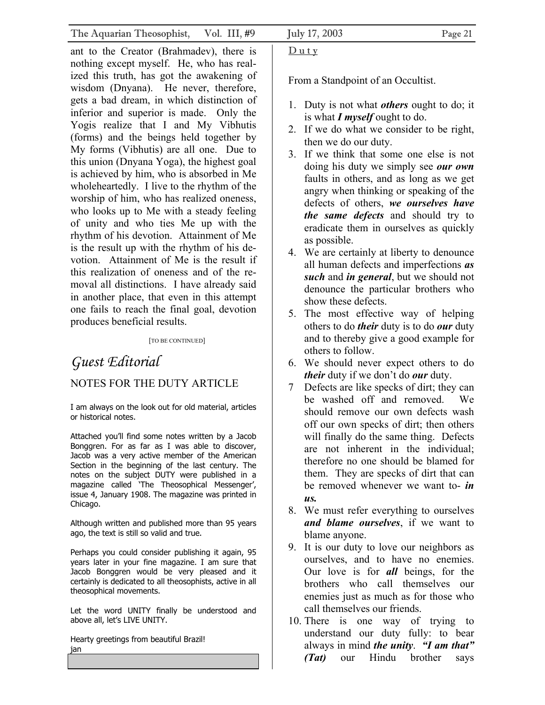<span id="page-20-0"></span>ant to the Creator (Brahmadev), there is nothing except myself. He, who has realized this truth, has got the awakening of wisdom (Dnyana). He never, therefore, gets a bad dream, in which distinction of inferior and superior is made. Only the Yogis realize that I and My Vibhutis (forms) and the beings held together by My forms (Vibhutis) are all one. Due to this union (Dnyana Yoga), the highest goal is achieved by him, who is absorbed in Me wholeheartedly. I live to the rhythm of the worship of him, who has realized oneness, who looks up to Me with a steady feeling of unity and who ties Me up with the rhythm of his devotion. Attainment of Me is the result up with the rhythm of his devotion. Attainment of Me is the result if this realization of oneness and of the removal all distinctions. I have already said in another place, that even in this attempt one fails to reach the final goal, devotion produces beneficial results.

[TO BE CONTINUED]

# *Guest Editorial*

NOTES FOR THE DUTY ARTICLE

I am always on the look out for old material, articles or historical notes.

Attached you'll find some notes written by a Jacob Bonggren. For as far as I was able to discover, Jacob was a very active member of the American Section in the beginning of the last century. The notes on the subject DUTY were published in a magazine called 'The Theosophical Messenger', issue 4, January 1908. The magazine was printed in Chicago.

Although written and published more than 95 years ago, the text is still so valid and true.

Perhaps you could consider publishing it again, 95 years later in your fine magazine. I am sure that Jacob Bonggren would be very pleased and it certainly is dedicated to all theosophists, active in all theosophical movements.

Let the word UNITY finally be understood and above all, let's LIVE UNITY.

Hearty greetings from beautiful Brazil! jan

 $D$  u t y

From a Standpoint of an Occultist.

- 1. Duty is not what *others* ought to do; it is what *I myself* ought to do.
- 2. If we do what we consider to be right, then we do our duty.
- 3. If we think that some one else is not doing his duty we simply see *our own* faults in others, and as long as we get angry when thinking or speaking of the defects of others, *we ourselves have the same defects* and should try to eradicate them in ourselves as quickly as possible.
- 4. We are certainly at liberty to denounce all human defects and imperfections *as such* and *in general*, but we should not denounce the particular brothers who show these defects.
- 5. The most effective way of helping others to do *their* duty is to do *our* duty and to thereby give a good example for others to follow.
- 6. We should never expect others to do *their* duty if we don't do *our* duty.
- 7 Defects are like specks of dirt; they can be washed off and removed. We should remove our own defects wash off our own specks of dirt; then others will finally do the same thing. Defects are not inherent in the individual; therefore no one should be blamed for them. They are specks of dirt that can be removed whenever we want to- *in us.*
- 8. We must refer everything to ourselves *and blame ourselves*, if we want to blame anyone.
- 9. It is our duty to love our neighbors as ourselves, and to have no enemies. Our love is for *all* beings, for the brothers who call themselves our enemies just as much as for those who call themselves our friends.
- 10. There is one way of trying to understand our duty fully: to bear always in mind *the unity*. *"I am that" (Tat)* our Hindu brother says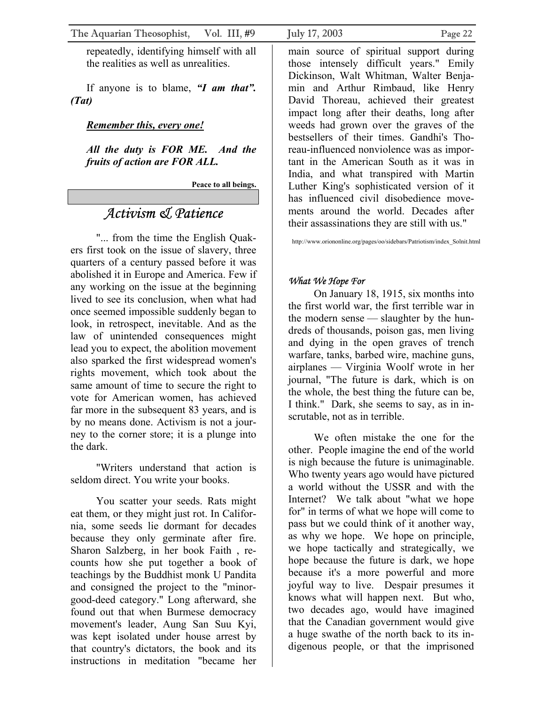<span id="page-21-0"></span>repeatedly, identifying himself with all the realities as well as unrealities.

If anyone is to blame, *"I am that". (Tat)*

### *Remember this, every one!*

*All the duty is FOR ME. And the fruits of action are FOR ALL.* 

**Peace to all beings.** 

### *Activism & Patience*

"... from the time the English Quakers first took on the issue of slavery, three quarters of a century passed before it was abolished it in Europe and America. Few if any working on the issue at the beginning lived to see its conclusion, when what had once seemed impossible suddenly began to look, in retrospect, inevitable. And as the law of unintended consequences might lead you to expect, the abolition movement also sparked the first widespread women's rights movement, which took about the same amount of time to secure the right to vote for American women, has achieved far more in the subsequent 83 years, and is by no means done. Activism is not a journey to the corner store; it is a plunge into the dark.

"Writers understand that action is seldom direct. You write your books.

You scatter your seeds. Rats might eat them, or they might just rot. In California, some seeds lie dormant for decades because they only germinate after fire. Sharon Salzberg, in her book Faith , recounts how she put together a book of teachings by the Buddhist monk U Pandita and consigned the project to the "minorgood-deed category." Long afterward, she found out that when Burmese democracy movement's leader, Aung San Suu Kyi, was kept isolated under house arrest by that country's dictators, the book and its instructions in meditation "became her

main source of spiritual support during those intensely difficult years." Emily Dickinson, Walt Whitman, Walter Benjamin and Arthur Rimbaud, like Henry David Thoreau, achieved their greatest impact long after their deaths, long after weeds had grown over the graves of the bestsellers of their times. Gandhi's Thoreau-influenced nonviolence was as important in the American South as it was in India, and what transpired with Martin Luther King's sophisticated version of it has influenced civil disobedience movements around the world. Decades after their assassinations they are still with us."

http://www.oriononline.org/pages/oo/sidebars/Patriotism/index\_Solnit.html

### *What We Hope For*

On January 18, 1915, six months into the first world war, the first terrible war in the modern sense — slaughter by the hundreds of thousands, poison gas, men living and dying in the open graves of trench warfare, tanks, barbed wire, machine guns, airplanes — Virginia Woolf wrote in her journal, "The future is dark, which is on the whole, the best thing the future can be, I think." Dark, she seems to say, as in inscrutable, not as in terrible.

We often mistake the one for the other. People imagine the end of the world is nigh because the future is unimaginable. Who twenty years ago would have pictured a world without the USSR and with the Internet? We talk about "what we hope for" in terms of what we hope will come to pass but we could think of it another way, as why we hope. We hope on principle, we hope tactically and strategically, we hope because the future is dark, we hope because it's a more powerful and more joyful way to live. Despair presumes it knows what will happen next. But who, two decades ago, would have imagined that the Canadian government would give a huge swathe of the north back to its indigenous people, or that the imprisoned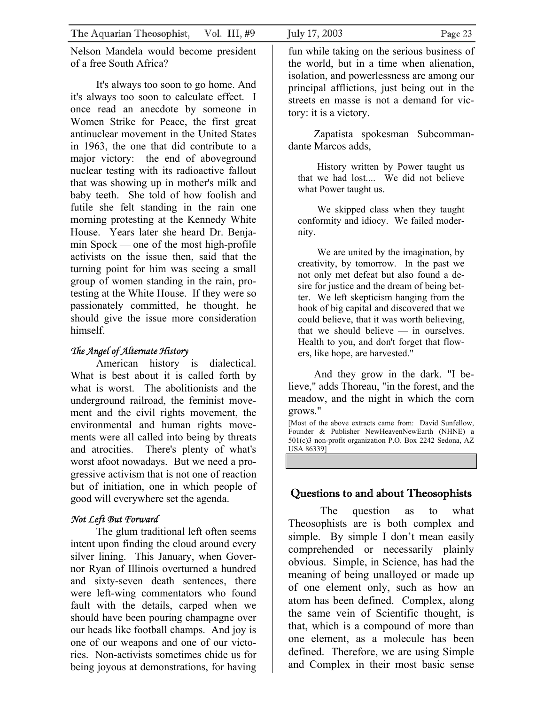<span id="page-22-0"></span>Nelson Mandela would become president of a free South Africa?

It's always too soon to go home. And it's always too soon to calculate effect. I once read an anecdote by someone in Women Strike for Peace, the first great antinuclear movement in the United States in 1963, the one that did contribute to a major victory: the end of aboveground nuclear testing with its radioactive fallout that was showing up in mother's milk and baby teeth. She told of how foolish and futile she felt standing in the rain one morning protesting at the Kennedy White House. Years later she heard Dr. Benjamin Spock — one of the most high-profile activists on the issue then, said that the turning point for him was seeing a small group of women standing in the rain, protesting at the White House. If they were so passionately committed, he thought, he should give the issue more consideration himself.

### *The Angel of Alternate History*

American history is dialectical. What is best about it is called forth by what is worst. The abolitionists and the underground railroad, the feminist movement and the civil rights movement, the environmental and human rights movements were all called into being by threats and atrocities. There's plenty of what's worst afoot nowadays. But we need a progressive activism that is not one of reaction but of initiation, one in which people of good will everywhere set the agenda.

### *Not Left But Forward*

The glum traditional left often seems intent upon finding the cloud around every silver lining. This January, when Governor Ryan of Illinois overturned a hundred and sixty-seven death sentences, there were left-wing commentators who found fault with the details, carped when we should have been pouring champagne over our heads like football champs. And joy is one of our weapons and one of our victories. Non-activists sometimes chide us for being joyous at demonstrations, for having

fun while taking on the serious business of the world, but in a time when alienation, isolation, and powerlessness are among our principal afflictions, just being out in the streets en masse is not a demand for victory: it is a victory.

Zapatista spokesman Subcommandante Marcos adds,

History written by Power taught us that we had lost.... We did not believe what Power taught us.

We skipped class when they taught conformity and idiocy. We failed modernity.

We are united by the imagination, by creativity, by tomorrow. In the past we not only met defeat but also found a desire for justice and the dream of being better. We left skepticism hanging from the hook of big capital and discovered that we could believe, that it was worth believing, that we should believe — in ourselves. Health to you, and don't forget that flowers, like hope, are harvested."

And they grow in the dark. "I believe," adds Thoreau, "in the forest, and the meadow, and the night in which the corn grows."

[Most of the above extracts came from: David Sunfellow, Founder & Publisher NewHeavenNewEarth (NHNE) a 501(c)3 non-profit organization P.O. Box 2242 Sedona, AZ USA 86339]

### Questions to and about Theosophists

The question as to what Theosophists are is both complex and simple. By simple I don't mean easily comprehended or necessarily plainly obvious. Simple, in Science, has had the meaning of being unalloyed or made up of one element only, such as how an atom has been defined. Complex, along the same vein of Scientific thought, is that, which is a compound of more than one element, as a molecule has been defined. Therefore, we are using Simple and Complex in their most basic sense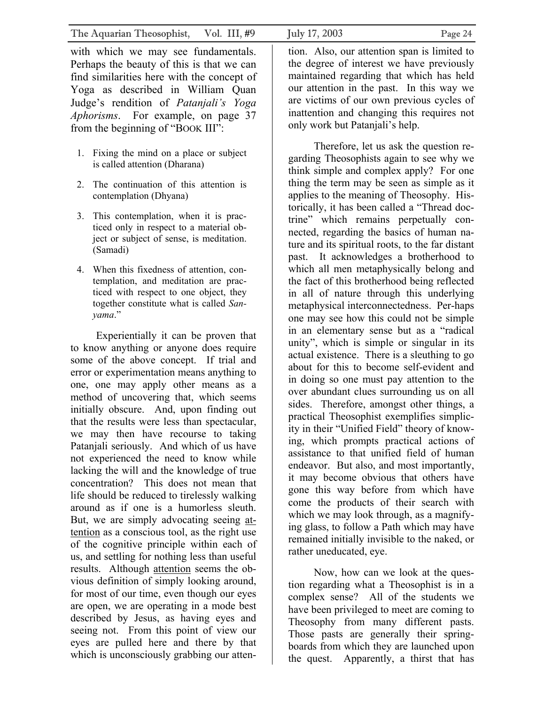| The Aquarian Theosophist, Vol. III, #9                                                                                                                                                                                                                                                                                                                                                                                                                                                                                                                                                                                                                                                                                                                                                                                                                            | July 17, 2003<br>Page 24                                                                                                                                                                                                                                                                                                                                                                                                                                                                                                                                                                                                                                                                                                                                                                                            |
|-------------------------------------------------------------------------------------------------------------------------------------------------------------------------------------------------------------------------------------------------------------------------------------------------------------------------------------------------------------------------------------------------------------------------------------------------------------------------------------------------------------------------------------------------------------------------------------------------------------------------------------------------------------------------------------------------------------------------------------------------------------------------------------------------------------------------------------------------------------------|---------------------------------------------------------------------------------------------------------------------------------------------------------------------------------------------------------------------------------------------------------------------------------------------------------------------------------------------------------------------------------------------------------------------------------------------------------------------------------------------------------------------------------------------------------------------------------------------------------------------------------------------------------------------------------------------------------------------------------------------------------------------------------------------------------------------|
| with which we may see fundamentals.<br>Perhaps the beauty of this is that we can<br>find similarities here with the concept of<br>Yoga as described in William Quan<br>Judge's rendition of Patanjali's Yoga<br>Aphorisms. For example, on page 37<br>from the beginning of "BOOK III":                                                                                                                                                                                                                                                                                                                                                                                                                                                                                                                                                                           | tion. Also, our attention span is limited to<br>the degree of interest we have previously<br>maintained regarding that which has held<br>our attention in the past. In this way we<br>are victims of our own previous cycles of<br>inattention and changing this requires not<br>only work but Patanjali's help.                                                                                                                                                                                                                                                                                                                                                                                                                                                                                                    |
| Fixing the mind on a place or subject<br>1.<br>is called attention (Dharana)<br>The continuation of this attention is<br>2.<br>contemplation (Dhyana)<br>This contemplation, when it is prac-<br>3.<br>ticed only in respect to a material ob-<br>ject or subject of sense, is meditation.<br>(Samadi)<br>When this fixedness of attention, con-<br>4.<br>templation, and meditation are prac-<br>ticed with respect to one object, they<br>together constitute what is called San-<br>yama."                                                                                                                                                                                                                                                                                                                                                                     | Therefore, let us ask the question re-<br>garding Theosophists again to see why we<br>think simple and complex apply? For one<br>thing the term may be seen as simple as it<br>applies to the meaning of Theosophy. His-<br>torically, it has been called a "Thread doc-<br>trine" which remains perpetually con-<br>nected, regarding the basics of human na-<br>ture and its spiritual roots, to the far distant<br>past. It acknowledges a brotherhood to<br>which all men metaphysically belong and<br>the fact of this brotherhood being reflected<br>in all of nature through this underlying<br>metaphysical interconnectedness. Per-haps<br>one may see how this could not be simple<br>in an elementary sense but as a "radical                                                                            |
| Experientially it can be proven that<br>to know anything or anyone does require<br>some of the above concept. If trial and<br>error or experimentation means anything to<br>one, one may apply other means as a<br>method of uncovering that, which seems<br>initially obscure. And, upon finding out<br>that the results were less than spectacular,<br>we may then have recourse to taking<br>Patanjali seriously. And which of us have<br>not experienced the need to know while<br>lacking the will and the knowledge of true<br>concentration? This does not mean that<br>life should be reduced to tirelessly walking<br>around as if one is a humorless sleuth.<br>But, we are simply advocating seeing at-<br>tention as a conscious tool, as the right use<br>of the cognitive principle within each of<br>us, and settling for nothing less than useful | unity", which is simple or singular in its<br>actual existence. There is a sleuthing to go<br>about for this to become self-evident and<br>in doing so one must pay attention to the<br>over abundant clues surrounding us on all<br>sides. Therefore, amongst other things, a<br>practical Theosophist exemplifies simplic-<br>ity in their "Unified Field" theory of know-<br>ing, which prompts practical actions of<br>assistance to that unified field of human<br>endeavor. But also, and most importantly,<br>it may become obvious that others have<br>gone this way before from which have<br>come the products of their search with<br>which we may look through, as a magnify-<br>ing glass, to follow a Path which may have<br>remained initially invisible to the naked, or<br>rather uneducated, eye. |
| results. Although attention seems the ob-<br>vious definition of simply looking around,<br>for most of our time, even though our eyes<br>are open, we are operating in a mode best<br>described by Jesus, as having eyes and<br>seeing not. From this point of view our<br>eyes are pulled here and there by that<br>which is unconsciously grabbing our atten-                                                                                                                                                                                                                                                                                                                                                                                                                                                                                                   | Now, how can we look at the ques-<br>tion regarding what a Theosophist is in a<br>complex sense? All of the students we<br>have been privileged to meet are coming to<br>Theosophy from many different pasts.<br>Those pasts are generally their spring-<br>boards from which they are launched upon<br>the quest. Apparently, a thirst that has                                                                                                                                                                                                                                                                                                                                                                                                                                                                    |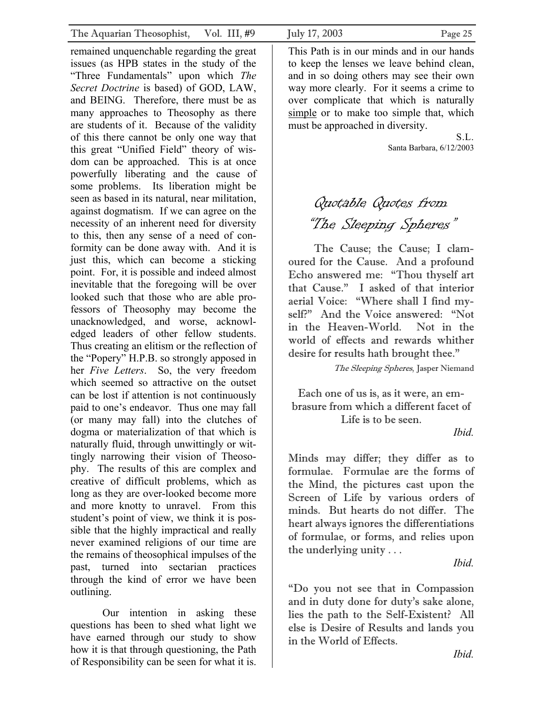<span id="page-24-0"></span>remained unquenchable regarding the great issues (as HPB states in the study of the "Three Fundamentals" upon which *The Secret Doctrine* is based) of GOD, LAW, and BEING. Therefore, there must be as many approaches to Theosophy as there are students of it. Because of the validity of this there cannot be only one way that this great "Unified Field" theory of wisdom can be approached. This is at once powerfully liberating and the cause of some problems. Its liberation might be seen as based in its natural, near militation, against dogmatism. If we can agree on the necessity of an inherent need for diversity to this, then any sense of a need of conformity can be done away with. And it is just this, which can become a sticking point. For, it is possible and indeed almost inevitable that the foregoing will be over looked such that those who are able professors of Theosophy may become the unacknowledged, and worse, acknowledged leaders of other fellow students. Thus creating an elitism or the reflection of the "Popery" H.P.B. so strongly apposed in her *Five Letters*. So, the very freedom which seemed so attractive on the outset can be lost if attention is not continuously paid to one's endeavor. Thus one may fall (or many may fall) into the clutches of dogma or materialization of that which is naturally fluid, through unwittingly or wittingly narrowing their vision of Theosophy. The results of this are complex and creative of difficult problems, which as long as they are over-looked become more and more knotty to unravel. From this student's point of view, we think it is possible that the highly impractical and really never examined religions of our time are the remains of theosophical impulses of the past, turned into sectarian practices through the kind of error we have been outlining.

Our intention in asking these questions has been to shed what light we have earned through our study to show how it is that through questioning, the Path of Responsibility can be seen for what it is. This Path is in our minds and in our hands to keep the lenses we leave behind clean, and in so doing others may see their own way more clearly. For it seems a crime to over complicate that which is naturally simple or to make too simple that, which must be approached in diversity.

> S.L. Santa Barbara, 6/12/2003

## Quotable Quotes from "The Sleeping Spheres"

The Cause; the Cause; I clamoured for the Cause. And a profound Echo answered me: "Thou thyself art that Cause." I asked of that interior aerial Voice: "Where shall I find myself?" And the Voice answered: "Not in the Heaven-World. Not in the world of effects and rewards whither desire for results hath brought thee."

The Sleeping Spheres, Jasper Niemand

Each one of us is, as it were, an embrasure from which a different facet of Life is to be seen.

### *Ibid.*

Minds may differ; they differ as to formulae. Formulae are the forms of the Mind, the pictures cast upon the Screen of Life by various orders of minds. But hearts do not differ. The heart always ignores the differentiations of formulae, or forms, and relies upon the underlying unity . . .

### *Ibid.*

"Do you not see that in Compassion and in duty done for duty's sake alone, lies the path to the Self-Existent? All else is Desire of Results and lands you in the World of Effects.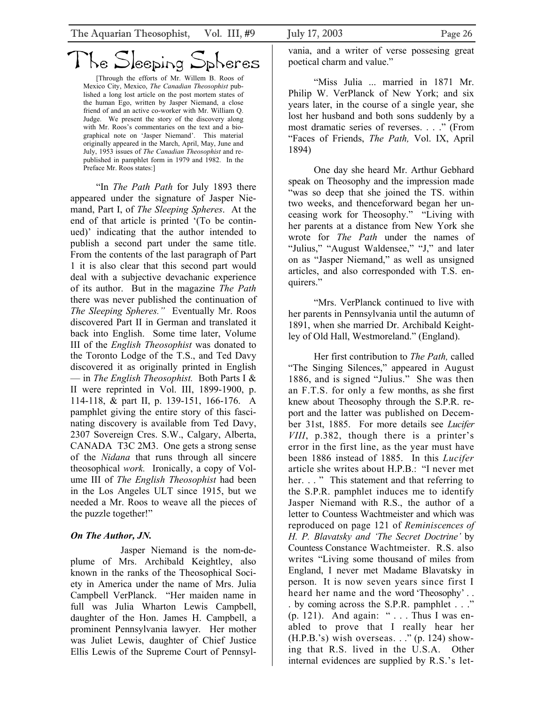<span id="page-25-0"></span>

[Through the efforts of Mr. Willem B. Roos of Mexico City, Mexico, *The Canadian Theosophist* published a long lost article on the post mortem states of the human Ego, written by Jasper Niemand, a close friend of and an active co-worker with Mr. William Q. Judge. We present the story of the discovery along with Mr. Roos's commentaries on the text and a biographical note on 'Jasper Niemand'. This material originally appeared in the March, April, May, June and July, 1953 issues of *The Canadian Theosophist* and republished in pamphlet form in 1979 and 1982. In the Preface Mr. Roos states:]

"In *The Path Path* for July 1893 there appeared under the signature of Jasper Niemand, Part I, of *The Sleeping Spheres*. At the end of that article is printed '(To be continued)' indicating that the author intended to publish a second part under the same title. From the contents of the last paragraph of Part 1 it is also clear that this second part would deal with a subjective devachanic experience of its author. But in the magazine *The Path*  there was never published the continuation of *The Sleeping Spheres."* Eventually Mr. Roos discovered Part II in German and translated it back into English. Some time later, Volume III of the *English Theosophist* was donated to the Toronto Lodge of the T.S., and Ted Davy discovered it as originally printed in English — in *The English Theosophist.* Both Parts I & II were reprinted in Vol. III, 1899-1900, p. 114-118, & part II, p. 139-151, 166-176. A pamphlet giving the entire story of this fascinating discovery is available from Ted Davy, 2307 Sovereign Cres. S.W., Calgary, Alberta, CANADA T3C 2M3. One gets a strong sense of the *Nidana* that runs through all sincere theosophical *work.* Ironically, a copy of Volume III of *The English Theosophist* had been in the Los Angeles ULT since 1915, but we needed a Mr. Roos to weave all the pieces of the puzzle together!"

### *On The Author, JN.*

 Jasper Niemand is the nom-deplume of Mrs. Archibald Keightley, also known in the ranks of the Theosophical Society in America under the name of Mrs. Julia Campbell VerPlanck. "Her maiden name in full was Julia Wharton Lewis Campbell, daughter of the Hon. James H. Campbell, a prominent Pennsylvania lawyer. Her mother was Juliet Lewis, daughter of Chief Justice Ellis Lewis of the Supreme Court of Pennsylvania, and a writer of verse possesing great poetical charm and value."

"Miss Julia ... married in 1871 Mr. Philip W. VerPlanck of New York; and six years later, in the course of a single year, she lost her husband and both sons suddenly by a most dramatic series of reverses. . . ." (From "Faces of Friends, *The Path,* Vol. IX, April 1894)

One day she heard Mr. Arthur Gebhard speak on Theosophy and the impression made "was so deep that she joined the TS. within two weeks, and thenceforward began her unceasing work for Theosophy." "Living with her parents at a distance from New York she wrote for *The Path* under the names of "Julius," "August Waldensee," "J," and later on as "Jasper Niemand," as well as unsigned articles, and also corresponded with T.S. enquirers."

"Mrs. VerPlanck continued to live with her parents in Pennsylvania until the autumn of 1891, when she married Dr. Archibald Keightley of Old Hall, Westmoreland." (England).

Her first contribution to *The Path,* called "The Singing Silences," appeared in August 1886, and is signed "Julius." She was then an F.T.S. for only a few months, as she first knew about Theosophy through the S.P.R. report and the latter was published on December 31st, 1885. For more details see *Lucifer VIII*, p.382, though there is a printer's error in the first line, as the year must have been 1886 instead of 1885. In this *Lucifer*  article she writes about H.P.B.: "I never met her. . . " This statement and that referring to the S.P.R. pamphlet induces me to identify Jasper Niemand with R.S., the author of a letter to Countess Wachtmeister and which was reproduced on page 121 of *Reminiscences of H. P. Blavatsky and 'The Secret Doctrine'* by Countess Constance Wachtmeister. R.S. also writes "Living some thousand of miles from England, I never met Madame Blavatsky in person. It is now seven years since first I heard her name and the word 'Theosophy' . . . by coming across the S.P.R. pamphlet . . ." (p. 121). And again: " . . . Thus I was enabled to prove that I really hear her  $(H.P.B.'s)$  wish overseas. . ."  $(p. 124)$  showing that R.S. lived in the U.S.A. Other internal evidences are supplied by R.S.'s let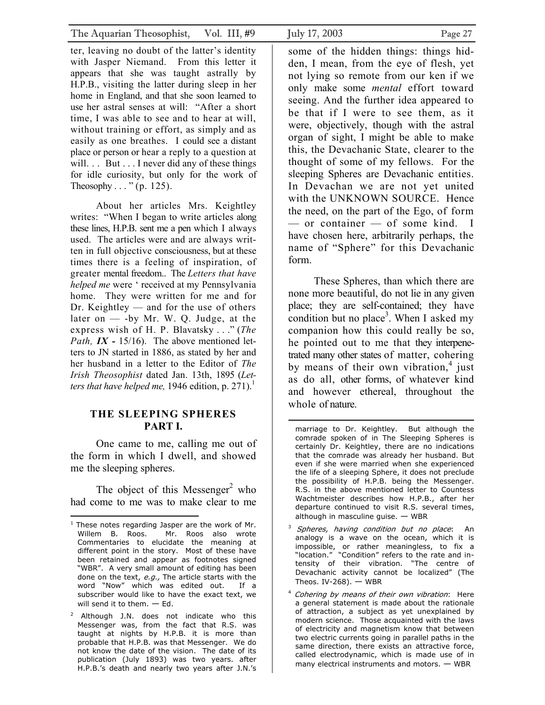ter, leaving no doubt of the latter's identity with Jasper Niemand. From this letter it appears that she was taught astrally by H.P.B., visiting the latter during sleep in her home in England, and that she soon learned to use her astral senses at will: "After a short time, I was able to see and to hear at will, without training or effort, as simply and as easily as one breathes. I could see a distant place or person or hear a reply to a question at will. . . But . . . I never did any of these things for idle curiosity, but only for the work of Theosophy  $\ldots$  " (p. 125).

About her articles Mrs. Keightley writes: "When I began to write articles along these lines, H.P.B. sent me a pen which I always used. The articles were and are always written in full objective consciousness, but at these times there is a feeling of inspiration, of greater mental freedom.. The *Letters that have helped me* were ' received at my Pennsylvania home. They were written for me and for Dr. Keightley — and for the use of others later on  $-$  -by Mr. W. Q. Judge, at the express wish of H. P. Blavatsky . . ." (*The Path,*  $IX - 15/16$ *. The above mentioned let*ters to JN started in 1886, as stated by her and her husband in a letter to the Editor of *The Irish Theosophist* dated Jan. 13th, 1895 (*Letters that have helped me,* 1946 edition, p. 271).<sup>1</sup>

### **THE SLEEPING SPHERES PART I.**

One came to me, calling me out of the form in which I dwell, and showed me the sleeping spheres.

The object of this Messenger<sup>[2](#page-26-1)</sup> who had come to me was to make clear to me

 $\overline{a}$ 

some of the hidden things: things hidden, I mean, from the eye of flesh, yet not lying so remote from our ken if we only make some *mental* effort toward seeing. And the further idea appeared to be that if I were to see them, as it were, objectively, though with the astral organ of sight, I might be able to make this, the Devachanic State, clearer to the thought of some of my fellows. For the sleeping Spheres are Devachanic entities. In Devachan we are not yet united with the UNKNOWN SOURCE. Hence the need, on the part of the Ego, of form — or container — of some kind. I have chosen here, arbitrarily perhaps, the name of "Sphere" for this Devachanic form.

These Spheres, than which there are none more beautiful, do not lie in any given place; they are self-contained; they have condition but no place<sup>[3](#page-26-2)</sup>. When I asked my companion how this could really be so, he pointed out to me that they interpenetrated many other states of matter, cohering bymeans of their own vibration,<sup>4</sup> just as do all, other forms, of whatever kind and however ethereal, throughout the whole of nature.

marriage to Dr. Keightley. But although the comrade spoken of in The Sleeping Spheres is certainly Dr. Keightley, there are no indications that the comrade was already her husband. But even if she were married when she experienced the life of a sleeping Sphere, it does not preclude the possibility of H.P.B. being the Messenger. R.S. in the above mentioned letter to Countess Wachtmeister describes how H.P.B., after her departure continued to visit R.S. several times, although in masculine guise. — WBR

- <span id="page-26-2"></span><sup>3</sup> Spheres, having condition but no place: An analogy is a wave on the ocean, which it is impossible, or rather meaningless, to fix a "location." "Condition" refers to the rate and intensity of their vibration. "The centre of Devachanic activity cannot be localized" (The Theos. IV-268). — WBR
- <span id="page-26-3"></span><sup>4</sup> Cohering by means of their own vibration: Here a general statement is made about the rationale of attraction, a subject as yet unexplained by modern science. Those acquainted with the laws of electricity and magnetism know that between two electric currents going in parallel paths in the same direction, there exists an attractive force, called electrodynamic, which is made use of in many electrical instruments and motors. — WBR

<span id="page-26-0"></span> $\overline{a}$ done on the text, e.g., The article starts with the  $1$  These notes regarding Jasper are the work of Mr. Willem B. Roos. Mr. Roos also wrote Commentaries to elucidate the meaning at different point in the story. Most of these have been retained and appear as footnotes signed "WBR". A very small amount of editing has been word "Now" which was edited out. If a subscriber would like to have the exact text, we will send it to them. — Ed.

<span id="page-26-1"></span><sup>&</sup>lt;sup>2</sup> Although J.N. does not indicate who this Messenger was, from the fact that R.S. was taught at nights by H.P.B. it is more than probable that H.P.B. was that Messenger. We do not know the date of the vision. The date of its publication (July 1893) was two years. after H.P.B.'s death and nearly two years after J.N.'s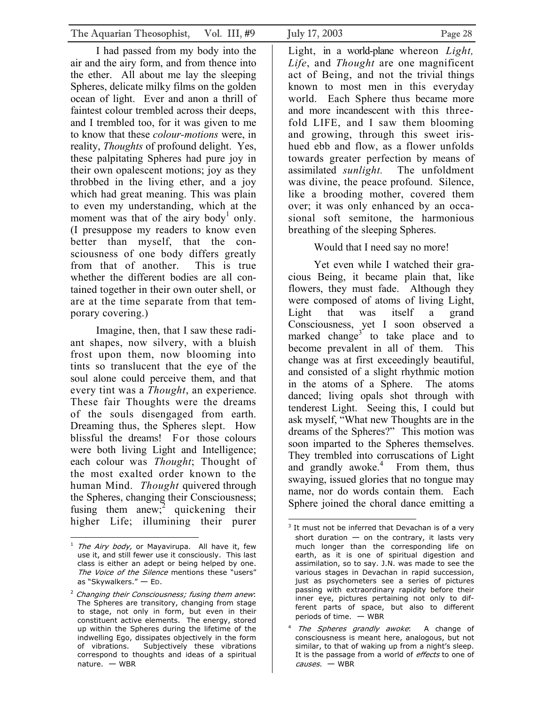I had passed from my body into the air and the airy form, and from thence into the ether. All about me lay the sleeping Spheres, delicate milky films on the golden ocean of light. Ever and anon a thrill of faintest colour trembled across their deeps, and I trembled too, for it was given to me to know that these *colour-motions* were, in reality, *Thoughts* of profound delight. Yes, these palpitating Spheres had pure joy in their own opalescent motions; joy as they throbbed in the living ether, and a joy which had great meaning. This was plain to even my understanding, which at the moment was that of the airy body<sup>[1](#page-27-0)</sup> only. (I presuppose my readers to know even better than myself, that the consciousness of one body differs greatly from that of another. This is true whether the different bodies are all contained together in their own outer shell, or are at the time separate from that temporary covering.)

Imagine, then, that I saw these radiant shapes, now silvery, with a bluish frost upon them, now blooming into tints so translucent that the eye of the soul alone could perceive them, and that every tint was a *Thought*, an experience. These fair Thoughts were the dreams of the souls disengaged from earth. Dreaming thus, the Spheres slept. How blissful the dreams! For those colours were both living Light and Intelligence; each colour was *Thought*; Thought of the most exalted order known to the human Mind. *Thought* quivered through the Spheres, changing their Consciousness; fusing them anew; quickening their higher Life; illumining their purer

Light, in a world-plane whereon *Light*, *Life*, and *Thought* are one magnificent act of Being, and not the trivial things known to most men in this everyday world. Each Sphere thus became more and more incandescent with this threefold LIFE, and I saw them blooming and growing, through this sweet irishued ebb and flow, as a flower unfolds towards greater perfection by means of assimilated *sunlight.* The unfoldment was divine, the peace profound. Silence, like a brooding mother, covered them over; it was only enhanced by an occasional soft semitone, the harmonious breathing of the sleeping Spheres.

Would that I need say no more!

Yet even while I watched their gracious Being, it became plain that, like flowers, they must fade. Although they were composed of atoms of living Light, Light that was itself a grand Consciousness, yet I soon observed a marked change<sup>[3](#page-27-2)</sup> to take place and to become prevalent in all of them. This change was at first exceedingly beautiful, and consisted of a slight rhythmic motion in the atoms of a Sphere. The atoms danced; living opals shot through with tenderest Light. Seeing this, I could but ask myself, "What new Thoughts are in the dreams of the Spheres?" This motion was soon imparted to the Spheres themselves. They trembled into corruscations of Light and grandly awoke.<sup>[4](#page-27-3)</sup> From them, thus swaying, issued glories that no tongue may name, nor do words contain them. Each Sphere joined the choral dance emitting a

<span id="page-27-0"></span> $\overline{a}$ <sup>1</sup> The Airy body, or Mayavirupa. All have it, few use it, and still fewer use it consciously. This last class is either an adept or being helped by one. The Voice of the Silence mentions these "users" as "Skywalkers." — ED.

<span id="page-27-1"></span> $2$  Changing their Consciousness; fusing them anew: The Spheres are transitory, changing from stage to stage, not only in form, but even in their constituent active elements. The energy, stored up within the Spheres during the lifetime of the indwelling Ego, dissipates objectively in the form of vibrations. Subjectively these vibrations correspond to thoughts and ideas of a spiritual nature. — WBR

<span id="page-27-2"></span> $\overline{a}$  $3$  It must not be inferred that Devachan is of a very short duration  $-$  on the contrary, it lasts very much longer than the corresponding life on earth, as it is one of spiritual digestion and assimilation, so to say. J.N. was made to see the various stages in Devachan in rapid succession, just as psychometers see a series of pictures passing with extraordinary rapidity before their inner eye, pictures pertaining not only to different parts of space, but also to different periods of time. — WBR

<span id="page-27-3"></span><sup>&</sup>lt;sup>4</sup> The Spheres grandly awoke: A change of consciousness is meant here, analogous, but not similar, to that of waking up from a night's sleep. It is the passage from a world of effects to one of causes. — WBR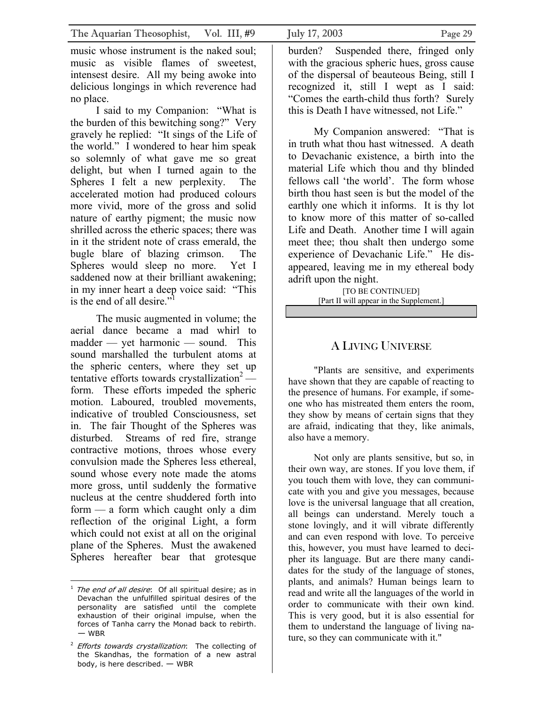<span id="page-28-0"></span>music whose instrument is the naked soul; music as visible flames of sweetest, intensest desire. All my being awoke into delicious longings in which reverence had no place.

I said to my Companion: "What is the burden of this bewitching song?" Very gravely he replied: "It sings of the Life of the world." I wondered to hear him speak so solemnly of what gave me so great delight, but when I turned again to the Spheres I felt a new perplexity. The accelerated motion had produced colours more vivid, more of the gross and solid nature of earthy pigment; the music now shrilled across the etheric spaces; there was in it the strident note of crass emerald, the bugle blare of blazing crimson. The Spheres would sleep no more. Yet I saddened now at their brilliant awakening; in my inner heart a deep voice said: "This is the end of all desire."

The music augmented in volume; the aerial dance became a mad whirl to madder — yet harmonic — sound. This sound marshalled the turbulent atoms at the spheric centers, where they set up tentative efforts towards crystallization<sup>2</sup> form. These efforts impeded the spheric motion. Laboured, troubled movements, indicative of troubled Consciousness, set in. The fair Thought of the Spheres was disturbed. Streams of red fire, strange contractive motions, throes whose every convulsion made the Spheres less ethereal, sound whose every note made the atoms more gross, until suddenly the formative nucleus at the centre shuddered forth into form — a form which caught only a dim reflection of the original Light, a form which could not exist at all on the original plane of the Spheres. Must the awakened Spheres hereafter bear that grotesque

burden? Suspended there, fringed only with the gracious spheric hues, gross cause of the dispersal of beauteous Being, still I recognized it, still I wept as I said: "Comes the earth-child thus forth? Surely this is Death I have witnessed, not Life."

My Companion answered: "That is in truth what thou hast witnessed. A death to Devachanic existence, a birth into the material Life which thou and thy blinded fellows call 'the world'. The form whose birth thou hast seen is but the model of the earthly one which it informs. It is thy lot to know more of this matter of so-called Life and Death. Another time I will again meet thee; thou shalt then undergo some experience of Devachanic Life." He disappeared, leaving me in my ethereal body adrift upon the night.

> [TO BE CONTINUED] [Part II will appear in the Supplement.]

### A LIVING UNIVERSE

"Plants are sensitive, and experiments have shown that they are capable of reacting to the presence of humans. For example, if someone who has mistreated them enters the room, they show by means of certain signs that they are afraid, indicating that they, like animals, also have a memory.

Not only are plants sensitive, but so, in their own way, are stones. If you love them, if you touch them with love, they can communicate with you and give you messages, because love is the universal language that all creation, all beings can understand. Merely touch a stone lovingly, and it will vibrate differently and can even respond with love. To perceive this, however, you must have learned to decipher its language. But are there many candidates for the study of the language of stones, plants, and animals? Human beings learn to read and write all the languages of the world in order to communicate with their own kind. This is very good, but it is also essential for them to understand the language of living nature, so they can communicate with it."

<span id="page-28-1"></span>  $1$  The end of all desire: Of all spiritual desire; as in Devachan the unfulfilled spiritual desires of the personality are satisfied until the complete exhaustion of their original impulse, when the forces of Tanha carry the Monad back to rebirth. — WBR

<span id="page-28-2"></span><sup>&</sup>lt;sup>2</sup> Efforts towards crystallization: The collecting of the Skandhas, the formation of a new astral body, is here described. — WBR